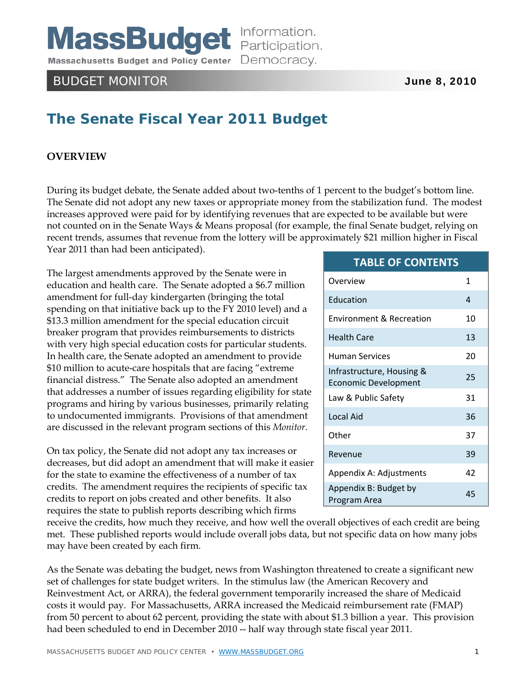**MassBudget** Information. Massachusetts Budget and Policy Center Democracy.

# BUDGET MONITOR **June 8, 2010**

# **The Senate Fiscal Year 2011 Budget**

#### **OVERVIEW**

During its budget debate, the Senate added about two-tenths of 1 percent to the budget's bottom line. The Senate did not adopt any new taxes or appropriate money from the stabilization fund. The modest increases approved were paid for by identifying revenues that are expected to be available but were not counted on in the Senate Ways & Means proposal (for example, the final Senate budget, relying on recent trends, assumes that revenue from the lottery will be approximately \$21 million higher in Fiscal Year 2011 than had been anticipated).

The largest amendments approved by the Senate were in education and health care. The Senate adopted a \$6.7 million amendment for full-day kindergarten (bringing the total spending on that initiative back up to the FY 2010 level) and a \$13.3 million amendment for the special education circuit breaker program that provides reimbursements to districts with very high special education costs for particular students. In health care, the Senate adopted an amendment to provide \$10 million to acute-care hospitals that are facing "extreme financial distress." The Senate also adopted an amendment that addresses a number of issues regarding eligibility for state programs and hiring by various businesses, primarily relating to undocumented immigrants. Provisions of that amendment are discussed in the relevant program sections of this *Monitor*.

On tax policy, the Senate did not adopt any tax increases or decreases, but did adopt an amendment that will make it easier for the state to examine the effectiveness of a number of tax credits. The amendment requires the recipients of specific tax credits to report on jobs created and other benefits. It also requires the state to publish reports describing which firms

receive the credits, how much they receive, and how well the overall objectives of each credit are being met. These published reports would include overall jobs data, but not specific data on how many jobs may have been created by each firm.

As the Senate was debating the budget, news from Washington threatened to create a significant new set of challenges for state budget writers. In the stimulus law (the American Recovery and Reinvestment Act, or ARRA), the federal government temporarily increased the share of Medicaid costs it would pay. For Massachusetts, ARRA increased the Medicaid reimbursement rate (FMAP) from 50 percent to about 62 percent, providing the state with about \$1.3 billion a year. This provision had been scheduled to end in December 2010 -- half way through state fiscal year 2011.

#### **TABLE OF CONTENTS**

| Overview                                          | 1  |
|---------------------------------------------------|----|
| Education                                         | 4  |
| <b>Environment &amp; Recreation</b>               | 10 |
| <b>Health Care</b>                                | 13 |
| Human Services                                    | 20 |
| Infrastructure, Housing &<br>Economic Development | 25 |
| Law & Public Safety                               | 31 |
| Local Aid                                         | 36 |
| Other                                             | 37 |
| Revenue                                           | 39 |
| Appendix A: Adjustments                           | 42 |
| Appendix B: Budget by<br>Program Area             | 45 |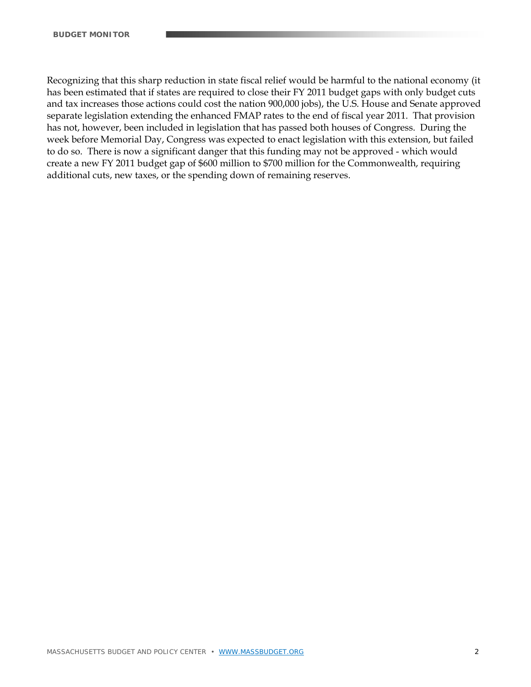Recognizing that this sharp reduction in state fiscal relief would be harmful to the national economy (it has been estimated that if states are required to close their FY 2011 budget gaps with only budget cuts and tax increases those actions could cost the nation 900,000 jobs), the U.S. House and Senate approved separate legislation extending the enhanced FMAP rates to the end of fiscal year 2011. That provision has not, however, been included in legislation that has passed both houses of Congress. During the week before Memorial Day, Congress was expected to enact legislation with this extension, but failed to do so. There is now a significant danger that this funding may not be approved - which would create a new FY 2011 budget gap of \$600 million to \$700 million for the Commonwealth, requiring additional cuts, new taxes, or the spending down of remaining reserves.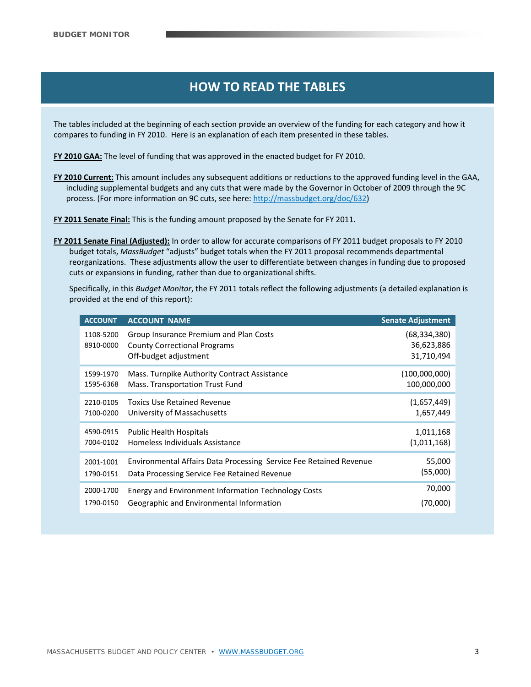# **HOW TO READ THE TABLES HOW TO READ THE TABLES HOW TO READ THE TABLES**

The tables included at the beginning of each section provide an overview of the funding for each category and how it compares to funding in FY 2010. Here is an explanation of each item presented in these tables.

**FY 2010 GAA:** The level of funding that was approved in the enacted budget for FY 2010.

**FY 2010 Current:** This amount includes any subsequent additions or reductions to the approved funding level in the GAA, including supplemental budgets and any cuts that were made by the Governor in October of 2009 through the 9C process. (For more information on 9C cuts, see here: http://massbudget.org/doc/632)

**FY 2011 Senate Final:** This is the funding amount proposed by the Senate for FY 2011.

**FY 2011 Senate Final (Adjusted):** In order to allow for accurate comparisons of FY 2011 budget proposals to FY 2010 budget totals, *MassBudget* "adjusts" budget totals when the FY 2011 proposal recommends departmental reorganizations. These adjustments allow the user to differentiate between changes in funding due to proposed cuts or expansions in funding, rather than due to organizational shifts.

Specifically, in this *Budget Monitor*, the FY 2011 totals reflect the following adjustments (a detailed explanation is provided at the end of this report):

| <b>ACCOUNT</b>         | <b>ACCOUNT NAME</b>                                                                                    | <b>Senate Adjustment</b>                   |
|------------------------|--------------------------------------------------------------------------------------------------------|--------------------------------------------|
| 1108-5200<br>8910-0000 | Group Insurance Premium and Plan Costs<br><b>County Correctional Programs</b><br>Off-budget adjustment | (68, 334, 380)<br>36,623,886<br>31,710,494 |
| 1599-1970              | Mass. Turnpike Authority Contract Assistance                                                           | (100,000,000)                              |
| 1595-6368              | Mass. Transportation Trust Fund                                                                        | 100,000,000                                |
| 2210-0105              | <b>Toxics Use Retained Revenue</b>                                                                     | (1,657,449)                                |
| 7100-0200              | University of Massachusetts                                                                            | 1,657,449                                  |
| 4590-0915              | <b>Public Health Hospitals</b>                                                                         | 1,011,168                                  |
| 7004-0102              | Homeless Individuals Assistance                                                                        | (1,011,168)                                |
| 2001-1001              | Environmental Affairs Data Processing Service Fee Retained Revenue                                     | 55,000                                     |
| 1790-0151              | Data Processing Service Fee Retained Revenue                                                           | (55,000)                                   |
| 2000-1700              | Energy and Environment Information Technology Costs                                                    | 70,000                                     |
| 1790-0150              | Geographic and Environmental Information                                                               | (70,000)                                   |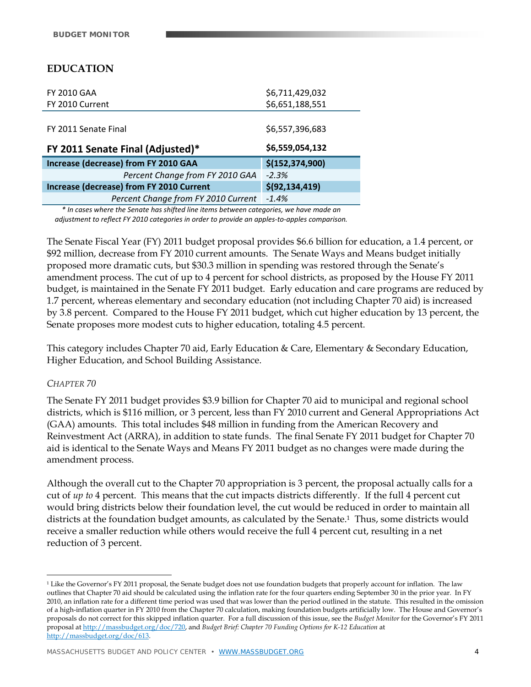# **EDUCATION**

| <b>FY 2010 GAA</b>                       | \$6,711,429,032   |
|------------------------------------------|-------------------|
| FY 2010 Current                          | \$6,651,188,551   |
|                                          |                   |
| FY 2011 Senate Final                     | \$6,557,396,683   |
| FY 2011 Senate Final (Adjusted)*         | \$6,559,054,132   |
| Increase (decrease) from FY 2010 GAA     | \$(152, 374, 900) |
| Percent Change from FY 2010 GAA          | $-2.3%$           |
| Increase (decrease) from FY 2010 Current | \$(92, 134, 419)  |
| Percent Change from FY 2010 Current      | $-1.4%$           |

*\* In cases where the Senate has shifted line items between categories, we have made an adjustment to reflect FY 2010 categories in order to provide an apples‐to‐apples comparison.*

The Senate Fiscal Year (FY) 2011 budget proposal provides \$6.6 billion for education, a 1.4 percent, or \$92 million, decrease from FY 2010 current amounts. The Senate Ways and Means budget initially proposed more dramatic cuts, but \$30.3 million in spending was restored through the Senate's amendment process. The cut of up to 4 percent for school districts, as proposed by the House FY 2011 budget, is maintained in the Senate FY 2011 budget. Early education and care programs are reduced by 1.7 percent, whereas elementary and secondary education (not including Chapter 70 aid) is increased by 3.8 percent. Compared to the House FY 2011 budget, which cut higher education by 13 percent, the Senate proposes more modest cuts to higher education, totaling 4.5 percent.

This category includes Chapter 70 aid, Early Education & Care, Elementary & Secondary Education, Higher Education, and School Building Assistance.

#### *CHAPTER 70*

 $\overline{a}$ 

The Senate FY 2011 budget provides \$3.9 billion for Chapter 70 aid to municipal and regional school districts, which is \$116 million, or 3 percent, less than FY 2010 current and General Appropriations Act (GAA) amounts. This total includes \$48 million in funding from the American Recovery and Reinvestment Act (ARRA), in addition to state funds. The final Senate FY 2011 budget for Chapter 70 aid is identical to the Senate Ways and Means FY 2011 budget as no changes were made during the amendment process.

Although the overall cut to the Chapter 70 appropriation is 3 percent, the proposal actually calls for a cut of *up to* 4 percent. This means that the cut impacts districts differently. If the full 4 percent cut would bring districts below their foundation level, the cut would be reduced in order to maintain all districts at the foundation budget amounts, as calculated by the Senate.<sup>1</sup> Thus, some districts would receive a smaller reduction while others would receive the full 4 percent cut, resulting in a net reduction of 3 percent.

<sup>&</sup>lt;sup>1</sup> Like the Governor's FY 2011 proposal, the Senate budget does not use foundation budgets that properly account for inflation. The law outlines that Chapter 70 aid should be calculated using the inflation rate for the four quarters ending September 30 in the prior year. In FY 2010, an inflation rate for a different time period was used that was lower than the period outlined in the statute. This resulted in the omission of a high-inflation quarter in FY 2010 from the Chapter 70 calculation, making foundation budgets artificially low. The House and Governor's proposals do not correct for this skipped inflation quarter. For a full discussion of this issue, see the *Budget Monitor* for the Governor's FY 2011 proposal at http://massbudget.org/doc/720, and *Budget Brief: Chapter 70 Funding Options for K-12 Education* at http://massbudget.org/doc/613.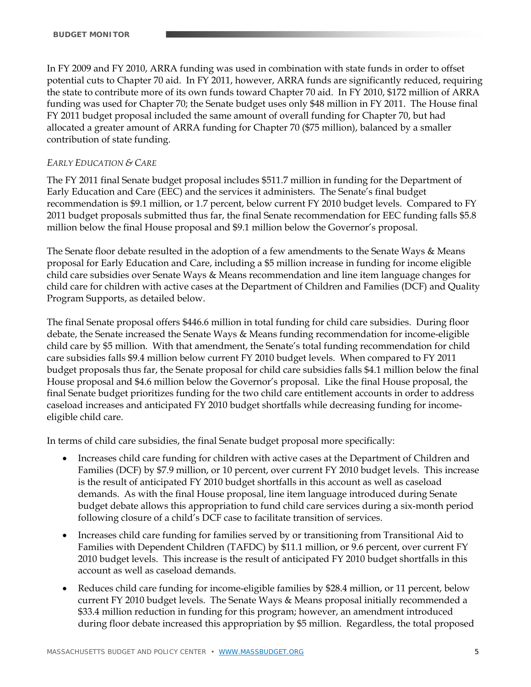In FY 2009 and FY 2010, ARRA funding was used in combination with state funds in order to offset potential cuts to Chapter 70 aid. In FY 2011, however, ARRA funds are significantly reduced, requiring the state to contribute more of its own funds toward Chapter 70 aid. In FY 2010, \$172 million of ARRA funding was used for Chapter 70; the Senate budget uses only \$48 million in FY 2011. The House final FY 2011 budget proposal included the same amount of overall funding for Chapter 70, but had allocated a greater amount of ARRA funding for Chapter 70 (\$75 million), balanced by a smaller contribution of state funding.

## *EARLY EDUCATION & CARE*

The FY 2011 final Senate budget proposal includes \$511.7 million in funding for the Department of Early Education and Care (EEC) and the services it administers. The Senate's final budget recommendation is \$9.1 million, or 1.7 percent, below current FY 2010 budget levels. Compared to FY 2011 budget proposals submitted thus far, the final Senate recommendation for EEC funding falls \$5.8 million below the final House proposal and \$9.1 million below the Governor's proposal.

The Senate floor debate resulted in the adoption of a few amendments to the Senate Ways & Means proposal for Early Education and Care, including a \$5 million increase in funding for income eligible child care subsidies over Senate Ways & Means recommendation and line item language changes for child care for children with active cases at the Department of Children and Families (DCF) and Quality Program Supports, as detailed below.

The final Senate proposal offers \$446.6 million in total funding for child care subsidies. During floor debate, the Senate increased the Senate Ways & Means funding recommendation for income-eligible child care by \$5 million. With that amendment, the Senate's total funding recommendation for child care subsidies falls \$9.4 million below current FY 2010 budget levels. When compared to FY 2011 budget proposals thus far, the Senate proposal for child care subsidies falls \$4.1 million below the final House proposal and \$4.6 million below the Governor's proposal. Like the final House proposal, the final Senate budget prioritizes funding for the two child care entitlement accounts in order to address caseload increases and anticipated FY 2010 budget shortfalls while decreasing funding for incomeeligible child care.

In terms of child care subsidies, the final Senate budget proposal more specifically:

- Increases child care funding for children with active cases at the Department of Children and Families (DCF) by \$7.9 million, or 10 percent, over current FY 2010 budget levels. This increase is the result of anticipated FY 2010 budget shortfalls in this account as well as caseload demands. As with the final House proposal, line item language introduced during Senate budget debate allows this appropriation to fund child care services during a six-month period following closure of a child's DCF case to facilitate transition of services.
- Increases child care funding for families served by or transitioning from Transitional Aid to Families with Dependent Children (TAFDC) by \$11.1 million, or 9.6 percent, over current FY 2010 budget levels. This increase is the result of anticipated FY 2010 budget shortfalls in this account as well as caseload demands.
- Reduces child care funding for income-eligible families by \$28.4 million, or 11 percent, below current FY 2010 budget levels. The Senate Ways & Means proposal initially recommended a \$33.4 million reduction in funding for this program; however, an amendment introduced during floor debate increased this appropriation by \$5 million. Regardless, the total proposed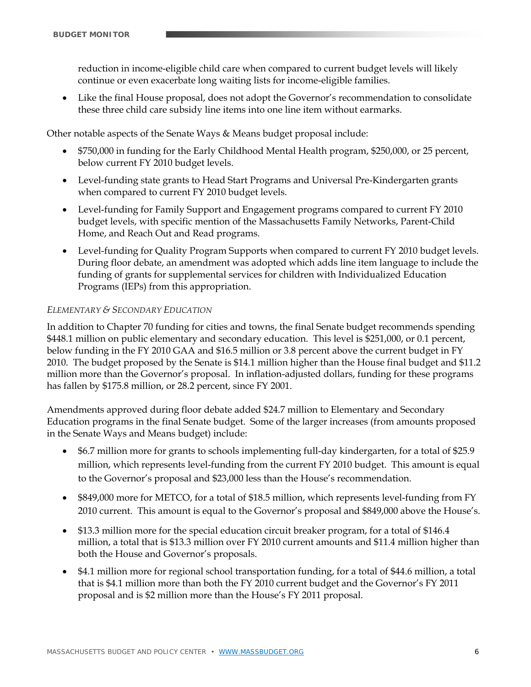reduction in income-eligible child care when compared to current budget levels will likely continue or even exacerbate long waiting lists for income-eligible families.

 Like the final House proposal, does not adopt the Governor's recommendation to consolidate these three child care subsidy line items into one line item without earmarks.

Other notable aspects of the Senate Ways & Means budget proposal include:

- \$750,000 in funding for the Early Childhood Mental Health program, \$250,000, or 25 percent, below current FY 2010 budget levels.
- Level-funding state grants to Head Start Programs and Universal Pre-Kindergarten grants when compared to current FY 2010 budget levels.
- Level-funding for Family Support and Engagement programs compared to current FY 2010 budget levels, with specific mention of the Massachusetts Family Networks, Parent-Child Home, and Reach Out and Read programs.
- Level-funding for Quality Program Supports when compared to current FY 2010 budget levels. During floor debate, an amendment was adopted which adds line item language to include the funding of grants for supplemental services for children with Individualized Education Programs (IEPs) from this appropriation.

### *ELEMENTARY & SECONDARY EDUCATION*

In addition to Chapter 70 funding for cities and towns, the final Senate budget recommends spending \$448.1 million on public elementary and secondary education. This level is \$251,000, or 0.1 percent, below funding in the FY 2010 GAA and \$16.5 million or 3.8 percent above the current budget in FY 2010. The budget proposed by the Senate is \$14.1 million higher than the House final budget and \$11.2 million more than the Governor's proposal. In inflation-adjusted dollars, funding for these programs has fallen by \$175.8 million, or 28.2 percent, since FY 2001.

Amendments approved during floor debate added \$24.7 million to Elementary and Secondary Education programs in the final Senate budget. Some of the larger increases (from amounts proposed in the Senate Ways and Means budget) include:

- \$6.7 million more for grants to schools implementing full-day kindergarten, for a total of \$25.9 million, which represents level-funding from the current FY 2010 budget. This amount is equal to the Governor's proposal and \$23,000 less than the House's recommendation.
- \$849,000 more for METCO, for a total of \$18.5 million, which represents level-funding from FY 2010 current. This amount is equal to the Governor's proposal and \$849,000 above the House's.
- \$13.3 million more for the special education circuit breaker program, for a total of \$146.4 million, a total that is \$13.3 million over FY 2010 current amounts and \$11.4 million higher than both the House and Governor's proposals.
- \$4.1 million more for regional school transportation funding, for a total of \$44.6 million, a total that is \$4.1 million more than both the FY 2010 current budget and the Governor's FY 2011 proposal and is \$2 million more than the House's FY 2011 proposal.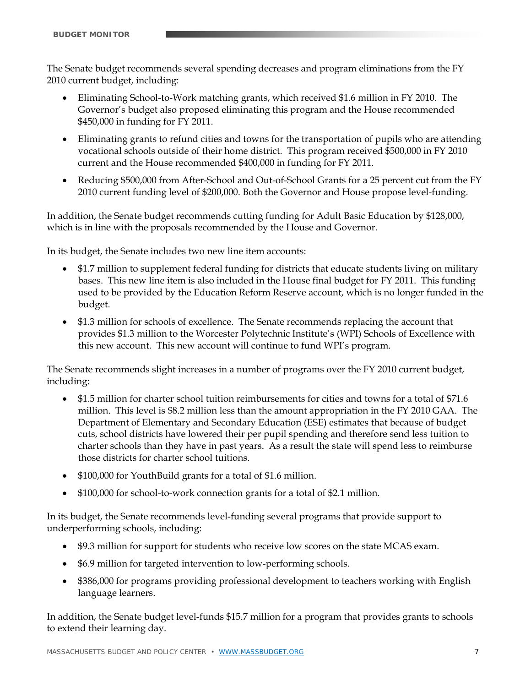The Senate budget recommends several spending decreases and program eliminations from the FY 2010 current budget, including:

- Eliminating School-to-Work matching grants, which received \$1.6 million in FY 2010. The Governor's budget also proposed eliminating this program and the House recommended \$450,000 in funding for FY 2011.
- Eliminating grants to refund cities and towns for the transportation of pupils who are attending vocational schools outside of their home district. This program received \$500,000 in FY 2010 current and the House recommended \$400,000 in funding for FY 2011.
- Reducing \$500,000 from After-School and Out-of-School Grants for a 25 percent cut from the FY 2010 current funding level of \$200,000. Both the Governor and House propose level-funding.

In addition, the Senate budget recommends cutting funding for Adult Basic Education by \$128,000, which is in line with the proposals recommended by the House and Governor.

In its budget, the Senate includes two new line item accounts:

- \$1.7 million to supplement federal funding for districts that educate students living on military bases. This new line item is also included in the House final budget for FY 2011. This funding used to be provided by the Education Reform Reserve account, which is no longer funded in the budget.
- \$1.3 million for schools of excellence. The Senate recommends replacing the account that provides \$1.3 million to the Worcester Polytechnic Institute's (WPI) Schools of Excellence with this new account. This new account will continue to fund WPI's program.

The Senate recommends slight increases in a number of programs over the FY 2010 current budget, including:

- \$1.5 million for charter school tuition reimbursements for cities and towns for a total of \$71.6 million. This level is \$8.2 million less than the amount appropriation in the FY 2010 GAA. The Department of Elementary and Secondary Education (ESE) estimates that because of budget cuts, school districts have lowered their per pupil spending and therefore send less tuition to charter schools than they have in past years. As a result the state will spend less to reimburse those districts for charter school tuitions.
- \$100,000 for YouthBuild grants for a total of \$1.6 million.
- \$100,000 for school-to-work connection grants for a total of \$2.1 million.

In its budget, the Senate recommends level-funding several programs that provide support to underperforming schools, including:

- \$9.3 million for support for students who receive low scores on the state MCAS exam.
- \$6.9 million for targeted intervention to low-performing schools.
- \$386,000 for programs providing professional development to teachers working with English language learners.

In addition, the Senate budget level-funds \$15.7 million for a program that provides grants to schools to extend their learning day.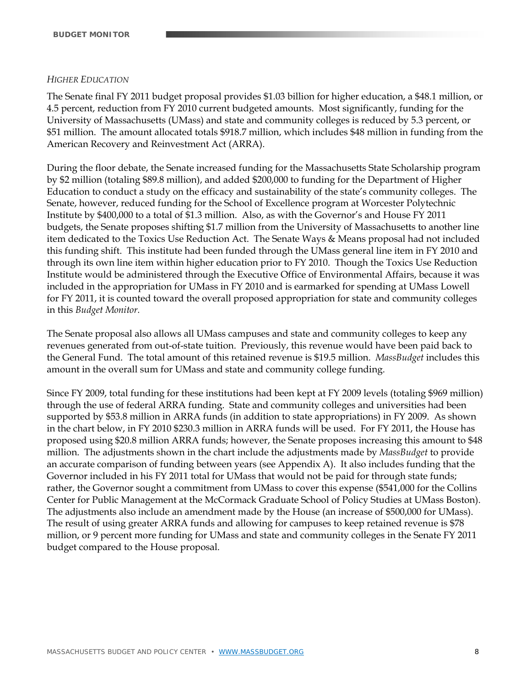#### *HIGHER EDUCATION*

The Senate final FY 2011 budget proposal provides \$1.03 billion for higher education, a \$48.1 million, or 4.5 percent, reduction from FY 2010 current budgeted amounts. Most significantly, funding for the University of Massachusetts (UMass) and state and community colleges is reduced by 5.3 percent, or \$51 million. The amount allocated totals \$918.7 million, which includes \$48 million in funding from the American Recovery and Reinvestment Act (ARRA).

During the floor debate, the Senate increased funding for the Massachusetts State Scholarship program by \$2 million (totaling \$89.8 million), and added \$200,000 to funding for the Department of Higher Education to conduct a study on the efficacy and sustainability of the state's community colleges. The Senate, however, reduced funding for the School of Excellence program at Worcester Polytechnic Institute by \$400,000 to a total of \$1.3 million. Also, as with the Governor's and House FY 2011 budgets, the Senate proposes shifting \$1.7 million from the University of Massachusetts to another line item dedicated to the Toxics Use Reduction Act. The Senate Ways & Means proposal had not included this funding shift. This institute had been funded through the UMass general line item in FY 2010 and through its own line item within higher education prior to FY 2010. Though the Toxics Use Reduction Institute would be administered through the Executive Office of Environmental Affairs, because it was included in the appropriation for UMass in FY 2010 and is earmarked for spending at UMass Lowell for FY 2011, it is counted toward the overall proposed appropriation for state and community colleges in this *Budget Monitor.* 

The Senate proposal also allows all UMass campuses and state and community colleges to keep any revenues generated from out-of-state tuition. Previously, this revenue would have been paid back to the General Fund. The total amount of this retained revenue is \$19.5 million. *MassBudget* includes this amount in the overall sum for UMass and state and community college funding.

Since FY 2009, total funding for these institutions had been kept at FY 2009 levels (totaling \$969 million) through the use of federal ARRA funding. State and community colleges and universities had been supported by \$53.8 million in ARRA funds (in addition to state appropriations) in FY 2009. As shown in the chart below, in FY 2010 \$230.3 million in ARRA funds will be used. For FY 2011, the House has proposed using \$20.8 million ARRA funds; however, the Senate proposes increasing this amount to \$48 million. The adjustments shown in the chart include the adjustments made by *MassBudget* to provide an accurate comparison of funding between years (see Appendix A). It also includes funding that the Governor included in his FY 2011 total for UMass that would not be paid for through state funds; rather, the Governor sought a commitment from UMass to cover this expense (\$541,000 for the Collins Center for Public Management at the McCormack Graduate School of Policy Studies at UMass Boston). The adjustments also include an amendment made by the House (an increase of \$500,000 for UMass). The result of using greater ARRA funds and allowing for campuses to keep retained revenue is \$78 million, or 9 percent more funding for UMass and state and community colleges in the Senate FY 2011 budget compared to the House proposal.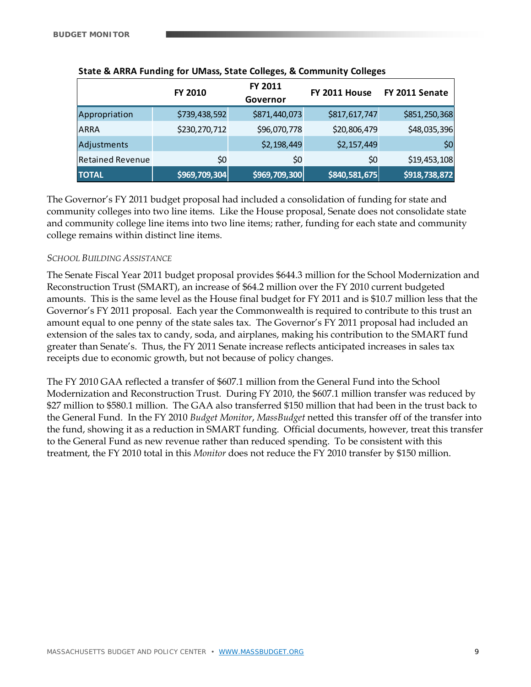|                         | FY 2010       | <b>FY 2011</b><br>Governor | FY 2011 House | FY 2011 Senate  |
|-------------------------|---------------|----------------------------|---------------|-----------------|
| Appropriation           | \$739,438,592 | \$871,440,073              | \$817,617,747 | \$851,250,368   |
| <b>ARRA</b>             | \$230,270,712 | \$96,070,778               | \$20,806,479  | \$48,035,396    |
| Adjustments             |               | \$2,198,449                | \$2,157,449   | 50 <sub>l</sub> |
| <b>Retained Revenue</b> | \$0           | \$0                        | \$0           | \$19,453,108    |
| <b>TOTAL</b>            | \$969,709,304 | \$969,709,300              | \$840,581,675 | \$918,738,872   |

#### **State & ARRA Funding for UMass, State Colleges, & Community Colleges**

The Governor's FY 2011 budget proposal had included a consolidation of funding for state and community colleges into two line items. Like the House proposal, Senate does not consolidate state and community college line items into two line items; rather, funding for each state and community college remains within distinct line items.

#### *SCHOOL BUILDING ASSISTANCE*

The Senate Fiscal Year 2011 budget proposal provides \$644.3 million for the School Modernization and Reconstruction Trust (SMART), an increase of \$64.2 million over the FY 2010 current budgeted amounts. This is the same level as the House final budget for FY 2011 and is \$10.7 million less that the Governor's FY 2011 proposal. Each year the Commonwealth is required to contribute to this trust an amount equal to one penny of the state sales tax. The Governor's FY 2011 proposal had included an extension of the sales tax to candy, soda, and airplanes, making his contribution to the SMART fund greater than Senate's. Thus, the FY 2011 Senate increase reflects anticipated increases in sales tax receipts due to economic growth, but not because of policy changes.

The FY 2010 GAA reflected a transfer of \$607.1 million from the General Fund into the School Modernization and Reconstruction Trust. During FY 2010, the \$607.1 million transfer was reduced by \$27 million to \$580.1 million. The GAA also transferred \$150 million that had been in the trust back to the General Fund. In the FY 2010 *Budget Monitor*, *MassBudget* netted this transfer off of the transfer into the fund, showing it as a reduction in SMART funding. Official documents, however, treat this transfer to the General Fund as new revenue rather than reduced spending. To be consistent with this treatment, the FY 2010 total in this *Monitor* does not reduce the FY 2010 transfer by \$150 million.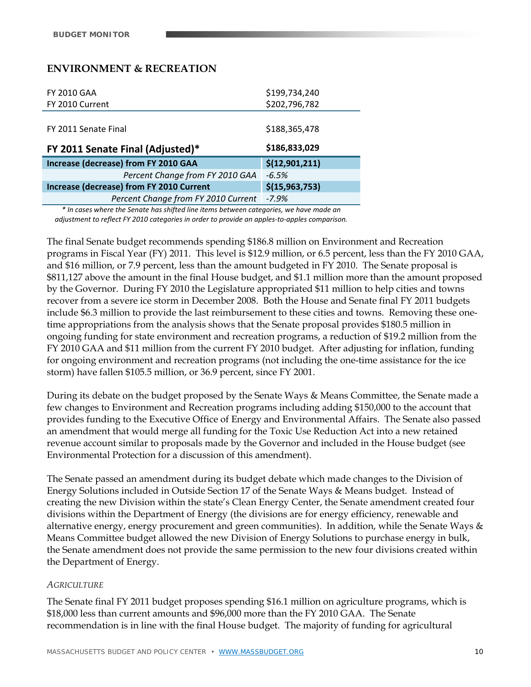## **ENVIRONMENT & RECREATION**

| <b>FY 2010 GAA</b>                       | \$199,734,240    |
|------------------------------------------|------------------|
| FY 2010 Current                          | \$202,796,782    |
|                                          |                  |
| FY 2011 Senate Final                     | \$188,365,478    |
|                                          |                  |
| FY 2011 Senate Final (Adjusted)*         | \$186,833,029    |
| Increase (decrease) from FY 2010 GAA     | \$(12,901,211)   |
| Percent Change from FY 2010 GAA          | $-6.5%$          |
| Increase (decrease) from FY 2010 Current | \$(15, 963, 753) |
| Percent Change from FY 2010 Current      | $-7.9%$          |

*\* In cases where the Senate has shifted line items between categories, we have made an adjustment to reflect FY 2010 categories in order to provide an apples‐to‐apples comparison.*

The final Senate budget recommends spending \$186.8 million on Environment and Recreation programs in Fiscal Year (FY) 2011. This level is \$12.9 million, or 6.5 percent, less than the FY 2010 GAA, and \$16 million, or 7.9 percent, less than the amount budgeted in FY 2010. The Senate proposal is \$811,127 above the amount in the final House budget, and \$1.1 million more than the amount proposed by the Governor. During FY 2010 the Legislature appropriated \$11 million to help cities and towns recover from a severe ice storm in December 2008. Both the House and Senate final FY 2011 budgets include \$6.3 million to provide the last reimbursement to these cities and towns. Removing these onetime appropriations from the analysis shows that the Senate proposal provides \$180.5 million in ongoing funding for state environment and recreation programs, a reduction of \$19.2 million from the FY 2010 GAA and \$11 million from the current FY 2010 budget. After adjusting for inflation, funding for ongoing environment and recreation programs (not including the one-time assistance for the ice storm) have fallen \$105.5 million, or 36.9 percent, since FY 2001.

During its debate on the budget proposed by the Senate Ways & Means Committee, the Senate made a few changes to Environment and Recreation programs including adding \$150,000 to the account that provides funding to the Executive Office of Energy and Environmental Affairs. The Senate also passed an amendment that would merge all funding for the Toxic Use Reduction Act into a new retained revenue account similar to proposals made by the Governor and included in the House budget (see Environmental Protection for a discussion of this amendment).

The Senate passed an amendment during its budget debate which made changes to the Division of Energy Solutions included in Outside Section 17 of the Senate Ways & Means budget. Instead of creating the new Division within the state's Clean Energy Center, the Senate amendment created four divisions within the Department of Energy (the divisions are for energy efficiency, renewable and alternative energy, energy procurement and green communities). In addition, while the Senate Ways & Means Committee budget allowed the new Division of Energy Solutions to purchase energy in bulk, the Senate amendment does not provide the same permission to the new four divisions created within the Department of Energy.

#### *AGRICULTURE*

The Senate final FY 2011 budget proposes spending \$16.1 million on agriculture programs, which is \$18,000 less than current amounts and \$96,000 more than the FY 2010 GAA. The Senate recommendation is in line with the final House budget. The majority of funding for agricultural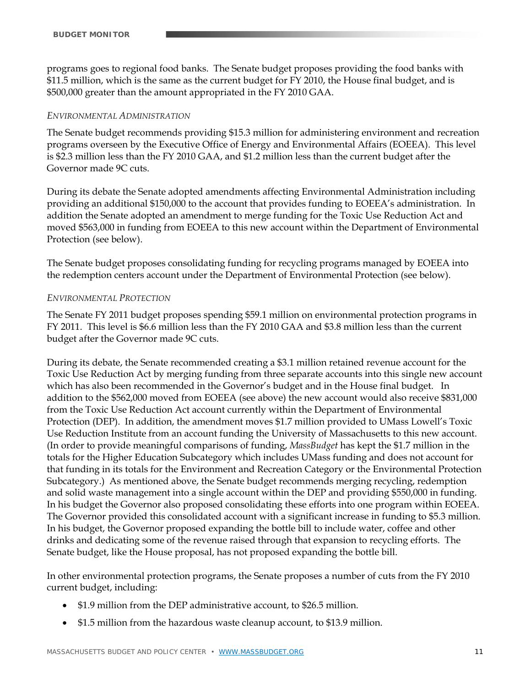programs goes to regional food banks. The Senate budget proposes providing the food banks with \$11.5 million, which is the same as the current budget for FY 2010, the House final budget, and is \$500,000 greater than the amount appropriated in the FY 2010 GAA.

#### *ENVIRONMENTAL ADMINISTRATION*

The Senate budget recommends providing \$15.3 million for administering environment and recreation programs overseen by the Executive Office of Energy and Environmental Affairs (EOEEA). This level is \$2.3 million less than the FY 2010 GAA, and \$1.2 million less than the current budget after the Governor made 9C cuts.

During its debate the Senate adopted amendments affecting Environmental Administration including providing an additional \$150,000 to the account that provides funding to EOEEA's administration. In addition the Senate adopted an amendment to merge funding for the Toxic Use Reduction Act and moved \$563,000 in funding from EOEEA to this new account within the Department of Environmental Protection (see below).

The Senate budget proposes consolidating funding for recycling programs managed by EOEEA into the redemption centers account under the Department of Environmental Protection (see below).

#### *ENVIRONMENTAL PROTECTION*

The Senate FY 2011 budget proposes spending \$59.1 million on environmental protection programs in FY 2011. This level is \$6.6 million less than the FY 2010 GAA and \$3.8 million less than the current budget after the Governor made 9C cuts.

During its debate, the Senate recommended creating a \$3.1 million retained revenue account for the Toxic Use Reduction Act by merging funding from three separate accounts into this single new account which has also been recommended in the Governor's budget and in the House final budget. In addition to the \$562,000 moved from EOEEA (see above) the new account would also receive \$831,000 from the Toxic Use Reduction Act account currently within the Department of Environmental Protection (DEP). In addition, the amendment moves \$1.7 million provided to UMass Lowell's Toxic Use Reduction Institute from an account funding the University of Massachusetts to this new account. (In order to provide meaningful comparisons of funding, *MassBudget* has kept the \$1.7 million in the totals for the Higher Education Subcategory which includes UMass funding and does not account for that funding in its totals for the Environment and Recreation Category or the Environmental Protection Subcategory.) As mentioned above, the Senate budget recommends merging recycling, redemption and solid waste management into a single account within the DEP and providing \$550,000 in funding. In his budget the Governor also proposed consolidating these efforts into one program within EOEEA. The Governor provided this consolidated account with a significant increase in funding to \$5.3 million. In his budget, the Governor proposed expanding the bottle bill to include water, coffee and other drinks and dedicating some of the revenue raised through that expansion to recycling efforts. The Senate budget, like the House proposal, has not proposed expanding the bottle bill.

In other environmental protection programs, the Senate proposes a number of cuts from the FY 2010 current budget, including:

- \$1.9 million from the DEP administrative account, to \$26.5 million.
- \$1.5 million from the hazardous waste cleanup account, to \$13.9 million.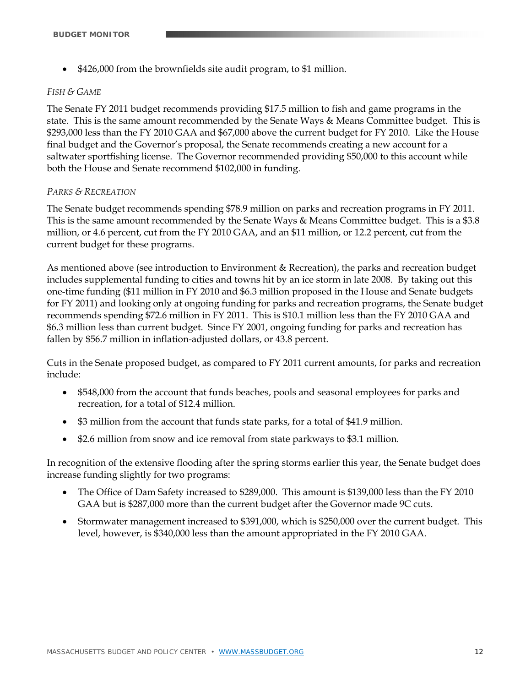\$426,000 from the brownfields site audit program, to \$1 million.

#### *FISH & GAME*

The Senate FY 2011 budget recommends providing \$17.5 million to fish and game programs in the state. This is the same amount recommended by the Senate Ways & Means Committee budget. This is \$293,000 less than the FY 2010 GAA and \$67,000 above the current budget for FY 2010. Like the House final budget and the Governor's proposal, the Senate recommends creating a new account for a saltwater sportfishing license. The Governor recommended providing \$50,000 to this account while both the House and Senate recommend \$102,000 in funding.

#### *PARKS & RECREATION*

The Senate budget recommends spending \$78.9 million on parks and recreation programs in FY 2011. This is the same amount recommended by the Senate Ways & Means Committee budget. This is a \$3.8 million, or 4.6 percent, cut from the FY 2010 GAA, and an \$11 million, or 12.2 percent, cut from the current budget for these programs.

As mentioned above (see introduction to Environment & Recreation), the parks and recreation budget includes supplemental funding to cities and towns hit by an ice storm in late 2008. By taking out this one-time funding (\$11 million in FY 2010 and \$6.3 million proposed in the House and Senate budgets for FY 2011) and looking only at ongoing funding for parks and recreation programs, the Senate budget recommends spending \$72.6 million in FY 2011. This is \$10.1 million less than the FY 2010 GAA and \$6.3 million less than current budget. Since FY 2001, ongoing funding for parks and recreation has fallen by \$56.7 million in inflation-adjusted dollars, or 43.8 percent.

Cuts in the Senate proposed budget, as compared to FY 2011 current amounts, for parks and recreation include:

- \$548,000 from the account that funds beaches, pools and seasonal employees for parks and recreation, for a total of \$12.4 million.
- \$3 million from the account that funds state parks, for a total of \$41.9 million.
- \$2.6 million from snow and ice removal from state parkways to \$3.1 million.

In recognition of the extensive flooding after the spring storms earlier this year, the Senate budget does increase funding slightly for two programs:

- The Office of Dam Safety increased to \$289,000. This amount is \$139,000 less than the FY 2010 GAA but is \$287,000 more than the current budget after the Governor made 9C cuts.
- Stormwater management increased to \$391,000, which is \$250,000 over the current budget. This level, however, is \$340,000 less than the amount appropriated in the FY 2010 GAA.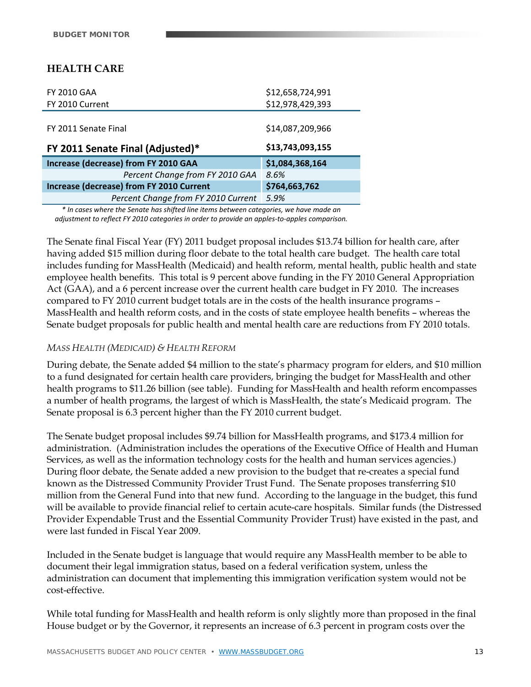# **HEALTH CARE**

| <b>FY 2010 GAA</b>                       | \$12,658,724,991 |
|------------------------------------------|------------------|
| FY 2010 Current                          | \$12,978,429,393 |
|                                          |                  |
| FY 2011 Senate Final                     | \$14,087,209,966 |
| FY 2011 Senate Final (Adjusted)*         | \$13,743,093,155 |
| Increase (decrease) from FY 2010 GAA     | \$1,084,368,164  |
| Percent Change from FY 2010 GAA          | 8.6%             |
| Increase (decrease) from FY 2010 Current | \$764,663,762    |
| Percent Change from FY 2010 Current      | 5.9%             |

*\* In cases where the Senate has shifted line items between categories, we have made an adjustment to reflect FY 2010 categories in order to provide an apples‐to‐apples comparison.*

The Senate final Fiscal Year (FY) 2011 budget proposal includes \$13.74 billion for health care, after having added \$15 million during floor debate to the total health care budget. The health care total includes funding for MassHealth (Medicaid) and health reform, mental health, public health and state employee health benefits. This total is 9 percent above funding in the FY 2010 General Appropriation Act (GAA), and a 6 percent increase over the current health care budget in FY 2010. The increases compared to FY 2010 current budget totals are in the costs of the health insurance programs – MassHealth and health reform costs, and in the costs of state employee health benefits – whereas the Senate budget proposals for public health and mental health care are reductions from FY 2010 totals.

#### *MASS HEALTH (MEDICAID) & HEALTH REFORM*

During debate, the Senate added \$4 million to the state's pharmacy program for elders, and \$10 million to a fund designated for certain health care providers, bringing the budget for MassHealth and other health programs to \$11.26 billion (see table). Funding for MassHealth and health reform encompasses a number of health programs, the largest of which is MassHealth, the state's Medicaid program. The Senate proposal is 6.3 percent higher than the FY 2010 current budget.

The Senate budget proposal includes \$9.74 billion for MassHealth programs, and \$173.4 million for administration. (Administration includes the operations of the Executive Office of Health and Human Services, as well as the information technology costs for the health and human services agencies.) During floor debate, the Senate added a new provision to the budget that re-creates a special fund known as the Distressed Community Provider Trust Fund. The Senate proposes transferring \$10 million from the General Fund into that new fund. According to the language in the budget, this fund will be available to provide financial relief to certain acute-care hospitals. Similar funds (the Distressed Provider Expendable Trust and the Essential Community Provider Trust) have existed in the past, and were last funded in Fiscal Year 2009.

Included in the Senate budget is language that would require any MassHealth member to be able to document their legal immigration status, based on a federal verification system, unless the administration can document that implementing this immigration verification system would not be cost-effective.

While total funding for MassHealth and health reform is only slightly more than proposed in the final House budget or by the Governor, it represents an increase of 6.3 percent in program costs over the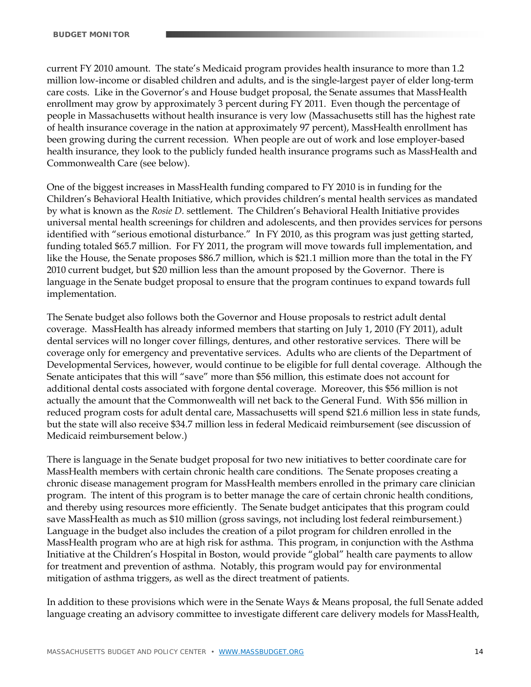current FY 2010 amount. The state's Medicaid program provides health insurance to more than 1.2 million low-income or disabled children and adults, and is the single-largest payer of elder long-term care costs. Like in the Governor's and House budget proposal, the Senate assumes that MassHealth enrollment may grow by approximately 3 percent during FY 2011. Even though the percentage of people in Massachusetts without health insurance is very low (Massachusetts still has the highest rate of health insurance coverage in the nation at approximately 97 percent), MassHealth enrollment has been growing during the current recession. When people are out of work and lose employer-based health insurance, they look to the publicly funded health insurance programs such as MassHealth and Commonwealth Care (see below).

One of the biggest increases in MassHealth funding compared to FY 2010 is in funding for the Children's Behavioral Health Initiative, which provides children's mental health services as mandated by what is known as the *Rosie D.* settlement. The Children's Behavioral Health Initiative provides universal mental health screenings for children and adolescents, and then provides services for persons identified with "serious emotional disturbance." In FY 2010, as this program was just getting started, funding totaled \$65.7 million. For FY 2011, the program will move towards full implementation, and like the House, the Senate proposes \$86.7 million, which is \$21.1 million more than the total in the FY 2010 current budget, but \$20 million less than the amount proposed by the Governor. There is language in the Senate budget proposal to ensure that the program continues to expand towards full implementation.

The Senate budget also follows both the Governor and House proposals to restrict adult dental coverage. MassHealth has already informed members that starting on July 1, 2010 (FY 2011), adult dental services will no longer cover fillings, dentures, and other restorative services. There will be coverage only for emergency and preventative services. Adults who are clients of the Department of Developmental Services, however, would continue to be eligible for full dental coverage. Although the Senate anticipates that this will "save" more than \$56 million, this estimate does not account for additional dental costs associated with forgone dental coverage. Moreover, this \$56 million is not actually the amount that the Commonwealth will net back to the General Fund. With \$56 million in reduced program costs for adult dental care, Massachusetts will spend \$21.6 million less in state funds, but the state will also receive \$34.7 million less in federal Medicaid reimbursement (see discussion of Medicaid reimbursement below.)

There is language in the Senate budget proposal for two new initiatives to better coordinate care for MassHealth members with certain chronic health care conditions. The Senate proposes creating a chronic disease management program for MassHealth members enrolled in the primary care clinician program. The intent of this program is to better manage the care of certain chronic health conditions, and thereby using resources more efficiently. The Senate budget anticipates that this program could save MassHealth as much as \$10 million (gross savings, not including lost federal reimbursement.) Language in the budget also includes the creation of a pilot program for children enrolled in the MassHealth program who are at high risk for asthma. This program, in conjunction with the Asthma Initiative at the Children's Hospital in Boston, would provide "global" health care payments to allow for treatment and prevention of asthma. Notably, this program would pay for environmental mitigation of asthma triggers, as well as the direct treatment of patients.

In addition to these provisions which were in the Senate Ways & Means proposal, the full Senate added language creating an advisory committee to investigate different care delivery models for MassHealth,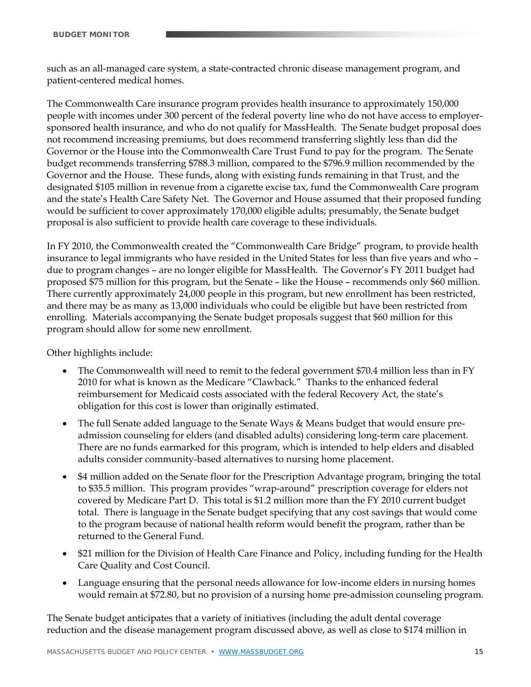such as an all-managed care system, a state-contracted chronic disease management program, and patient-centered medical homes.

The Commonwealth Care insurance program provides health insurance to approximately 150,000 people with incomes under 300 percent of the federal poverty line who do not have access to employersponsored health insurance, and who do not qualify for MassHealth. The Senate budget proposal does not recommend increasing premiums, but does recommend transferring slightly less than did the Governor or the House into the Commonwealth Care Trust Fund to pay for the program. The Senate budget recommends transferring \$788.3 million, compared to the \$796.9 million recommended by the Governor and the House. These funds, along with existing funds remaining in that Trust, and the designated \$105 million in revenue from a cigarette excise tax, fund the Commonwealth Care program and the state's Health Care Safety Net. The Governor and House assumed that their proposed funding would be sufficient to cover approximately 170,000 eligible adults; presumably, the Senate budget proposal is also sufficient to provide health care coverage to these individuals.

In FY 2010, the Commonwealth created the "Commonwealth Care Bridge" program, to provide health insurance to legal immigrants who have resided in the United States for less than five years and who – due to program changes – are no longer eligible for MassHealth. The Governor's FY 2011 budget had proposed \$75 million for this program, but the Senate – like the House – recommends only \$60 million. There currently approximately 24,000 people in this program, but new enrollment has been restricted, and there may be as many as 13,000 individuals who could be eligible but have been restricted from enrolling. Materials accompanying the Senate budget proposals suggest that \$60 million for this program should allow for some new enrollment.

Other highlights include:

- The Commonwealth will need to remit to the federal government \$70.4 million less than in FY 2010 for what is known as the Medicare "Clawback." Thanks to the enhanced federal reimbursement for Medicaid costs associated with the federal Recovery Act, the state's obligation for this cost is lower than originally estimated.
- The full Senate added language to the Senate Ways & Means budget that would ensure preadmission counseling for elders (and disabled adults) considering long-term care placement. There are no funds earmarked for this program, which is intended to help elders and disabled adults consider community-based alternatives to nursing home placement.
- \$4 million added on the Senate floor for the Prescription Advantage program, bringing the total to \$35.5 million. This program provides "wrap-around" prescription coverage for elders not covered by Medicare Part D. This total is \$1.2 million more than the FY 2010 current budget total. There is language in the Senate budget specifying that any cost savings that would come to the program because of national health reform would benefit the program, rather than be returned to the General Fund.
- \$21 million for the Division of Health Care Finance and Policy, including funding for the Health Care Quality and Cost Council.
- Language ensuring that the personal needs allowance for low-income elders in nursing homes would remain at \$72.80, but no provision of a nursing home pre-admission counseling program.

The Senate budget anticipates that a variety of initiatives (including the adult dental coverage reduction and the disease management program discussed above, as well as close to \$174 million in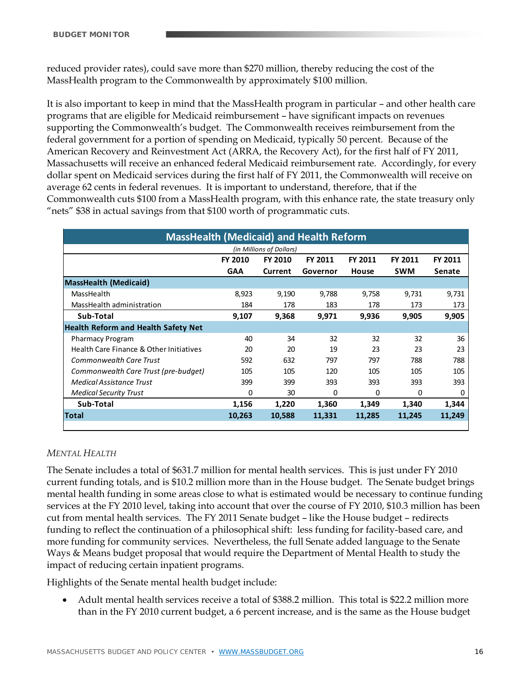reduced provider rates), could save more than \$270 million, thereby reducing the cost of the MassHealth program to the Commonwealth by approximately \$100 million.

It is also important to keep in mind that the MassHealth program in particular – and other health care programs that are eligible for Medicaid reimbursement – have significant impacts on revenues supporting the Commonwealth's budget. The Commonwealth receives reimbursement from the federal government for a portion of spending on Medicaid, typically 50 percent. Because of the American Recovery and Reinvestment Act (ARRA, the Recovery Act), for the first half of FY 2011, Massachusetts will receive an enhanced federal Medicaid reimbursement rate. Accordingly, for every dollar spent on Medicaid services during the first half of FY 2011, the Commonwealth will receive on average 62 cents in federal revenues. It is important to understand, therefore, that if the Commonwealth cuts \$100 from a MassHealth program, with this enhance rate, the state treasury only "nets" \$38 in actual savings from that \$100 worth of programmatic cuts.

| <b>MassHealth (Medicaid) and Health Reform</b> |            |         |          |          |            |          |
|------------------------------------------------|------------|---------|----------|----------|------------|----------|
| (in Millions of Dollars)                       |            |         |          |          |            |          |
|                                                | FY 2010    | FY 2010 | FY 2011  | FY 2011  | FY 2011    | FY 2011  |
|                                                | <b>GAA</b> | Current | Governor | House    | <b>SWM</b> | Senate   |
| <b>MassHealth (Medicaid)</b>                   |            |         |          |          |            |          |
| MassHealth                                     | 8,923      | 9,190   | 9,788    | 9,758    | 9,731      | 9,731    |
| MassHealth administration                      | 184        | 178     | 183      | 178      | 173        | 173      |
| Sub-Total                                      | 9,107      | 9,368   | 9,971    | 9,936    | 9,905      | 9,905    |
| <b>Health Reform and Health Safety Net</b>     |            |         |          |          |            |          |
| <b>Pharmacy Program</b>                        | 40         | 34      | 32       | 32       | 32         | 36       |
| Health Care Finance & Other Initiatives        | 20         | 20      | 19       | 23       | 23         | 23       |
| <b>Commonwealth Care Trust</b>                 | 592        | 632     | 797      | 797      | 788        | 788      |
| Commonwealth Care Trust (pre-budget)           | 105        | 105     | 120      | 105      | 105        | 105      |
| <b>Medical Assistance Trust</b>                | 399        | 399     | 393      | 393      | 393        | 393      |
| <b>Medical Security Trust</b>                  | 0          | 30      | 0        | $\Omega$ | 0          | $\Omega$ |
| Sub-Total                                      | 1,156      | 1,220   | 1,360    | 1,349    | 1,340      | 1,344    |
| Total                                          | 10,263     | 10,588  | 11,331   | 11,285   | 11,245     | 11,249   |

# *MENTAL HEALTH*

The Senate includes a total of \$631.7 million for mental health services. This is just under FY 2010 current funding totals, and is \$10.2 million more than in the House budget. The Senate budget brings mental health funding in some areas close to what is estimated would be necessary to continue funding services at the FY 2010 level, taking into account that over the course of FY 2010, \$10.3 million has been cut from mental health services. The FY 2011 Senate budget – like the House budget – redirects funding to reflect the continuation of a philosophical shift: less funding for facility-based care, and more funding for community services. Nevertheless, the full Senate added language to the Senate Ways & Means budget proposal that would require the Department of Mental Health to study the impact of reducing certain inpatient programs.

Highlights of the Senate mental health budget include:

 Adult mental health services receive a total of \$388.2 million. This total is \$22.2 million more than in the FY 2010 current budget, a 6 percent increase, and is the same as the House budget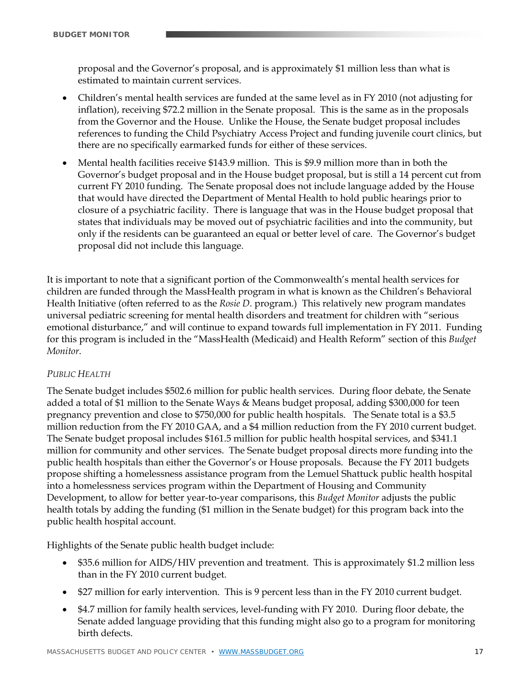proposal and the Governor's proposal, and is approximately \$1 million less than what is estimated to maintain current services.

- Children's mental health services are funded at the same level as in FY 2010 (not adjusting for inflation), receiving \$72.2 million in the Senate proposal. This is the same as in the proposals from the Governor and the House. Unlike the House, the Senate budget proposal includes references to funding the Child Psychiatry Access Project and funding juvenile court clinics, but there are no specifically earmarked funds for either of these services.
- Mental health facilities receive \$143.9 million. This is \$9.9 million more than in both the Governor's budget proposal and in the House budget proposal, but is still a 14 percent cut from current FY 2010 funding. The Senate proposal does not include language added by the House that would have directed the Department of Mental Health to hold public hearings prior to closure of a psychiatric facility. There is language that was in the House budget proposal that states that individuals may be moved out of psychiatric facilities and into the community, but only if the residents can be guaranteed an equal or better level of care. The Governor's budget proposal did not include this language.

It is important to note that a significant portion of the Commonwealth's mental health services for children are funded through the MassHealth program in what is known as the Children's Behavioral Health Initiative (often referred to as the *Rosie D.* program.) This relatively new program mandates universal pediatric screening for mental health disorders and treatment for children with "serious emotional disturbance," and will continue to expand towards full implementation in FY 2011. Funding for this program is included in the "MassHealth (Medicaid) and Health Reform" section of this *Budget Monitor*.

#### *PUBLIC HEALTH*

The Senate budget includes \$502.6 million for public health services. During floor debate, the Senate added a total of \$1 million to the Senate Ways & Means budget proposal, adding \$300,000 for teen pregnancy prevention and close to \$750,000 for public health hospitals. The Senate total is a \$3.5 million reduction from the FY 2010 GAA, and a \$4 million reduction from the FY 2010 current budget. The Senate budget proposal includes \$161.5 million for public health hospital services, and \$341.1 million for community and other services. The Senate budget proposal directs more funding into the public health hospitals than either the Governor's or House proposals. Because the FY 2011 budgets propose shifting a homelessness assistance program from the Lemuel Shattuck public health hospital into a homelessness services program within the Department of Housing and Community Development, to allow for better year-to-year comparisons, this *Budget Monitor* adjusts the public health totals by adding the funding (\$1 million in the Senate budget) for this program back into the public health hospital account.

Highlights of the Senate public health budget include:

- \$35.6 million for AIDS/HIV prevention and treatment. This is approximately \$1.2 million less than in the FY 2010 current budget.
- \$27 million for early intervention. This is 9 percent less than in the FY 2010 current budget.
- \$4.7 million for family health services, level-funding with FY 2010. During floor debate, the Senate added language providing that this funding might also go to a program for monitoring birth defects.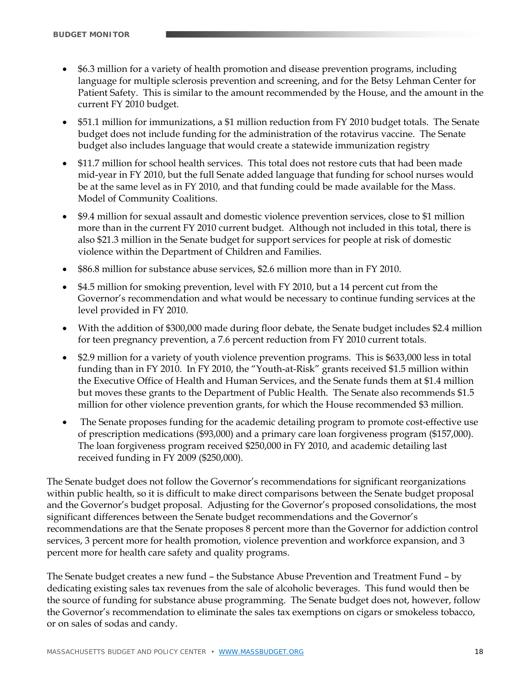- \$6.3 million for a variety of health promotion and disease prevention programs, including language for multiple sclerosis prevention and screening, and for the Betsy Lehman Center for Patient Safety. This is similar to the amount recommended by the House, and the amount in the current FY 2010 budget.
- \$51.1 million for immunizations, a \$1 million reduction from FY 2010 budget totals. The Senate budget does not include funding for the administration of the rotavirus vaccine. The Senate budget also includes language that would create a statewide immunization registry
- \$11.7 million for school health services. This total does not restore cuts that had been made mid-year in FY 2010, but the full Senate added language that funding for school nurses would be at the same level as in FY 2010, and that funding could be made available for the Mass. Model of Community Coalitions.
- \$9.4 million for sexual assault and domestic violence prevention services, close to \$1 million more than in the current FY 2010 current budget. Although not included in this total, there is also \$21.3 million in the Senate budget for support services for people at risk of domestic violence within the Department of Children and Families.
- \$86.8 million for substance abuse services, \$2.6 million more than in FY 2010.
- \$4.5 million for smoking prevention, level with FY 2010, but a 14 percent cut from the Governor's recommendation and what would be necessary to continue funding services at the level provided in FY 2010.
- With the addition of \$300,000 made during floor debate, the Senate budget includes \$2.4 million for teen pregnancy prevention, a 7.6 percent reduction from FY 2010 current totals.
- \$2.9 million for a variety of youth violence prevention programs. This is \$633,000 less in total funding than in FY 2010. In FY 2010, the "Youth-at-Risk" grants received \$1.5 million within the Executive Office of Health and Human Services, and the Senate funds them at \$1.4 million but moves these grants to the Department of Public Health. The Senate also recommends \$1.5 million for other violence prevention grants, for which the House recommended \$3 million.
- The Senate proposes funding for the academic detailing program to promote cost-effective use of prescription medications (\$93,000) and a primary care loan forgiveness program (\$157,000). The loan forgiveness program received \$250,000 in FY 2010, and academic detailing last received funding in FY 2009 (\$250,000).

The Senate budget does not follow the Governor's recommendations for significant reorganizations within public health, so it is difficult to make direct comparisons between the Senate budget proposal and the Governor's budget proposal. Adjusting for the Governor's proposed consolidations, the most significant differences between the Senate budget recommendations and the Governor's recommendations are that the Senate proposes 8 percent more than the Governor for addiction control services, 3 percent more for health promotion, violence prevention and workforce expansion, and 3 percent more for health care safety and quality programs.

The Senate budget creates a new fund – the Substance Abuse Prevention and Treatment Fund – by dedicating existing sales tax revenues from the sale of alcoholic beverages. This fund would then be the source of funding for substance abuse programming. The Senate budget does not, however, follow the Governor's recommendation to eliminate the sales tax exemptions on cigars or smokeless tobacco, or on sales of sodas and candy.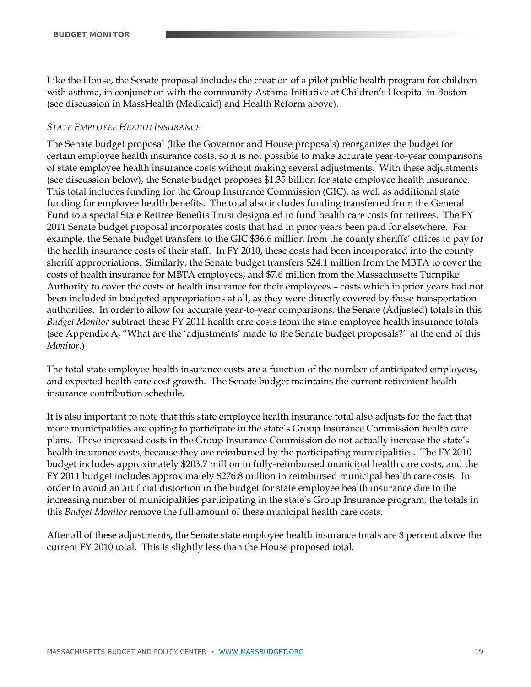Like the House, the Senate proposal includes the creation of a pilot public health program for children with asthma, in conjunction with the community Asthma Initiative at Children's Hospital in Boston (see discussion in MassHealth (Medicaid) and Health Reform above).

#### *STATE EMPLOYEE HEALTH INSURANCE*

The Senate budget proposal (like the Governor and House proposals) reorganizes the budget for certain employee health insurance costs, so it is not possible to make accurate year-to-year comparisons of state employee health insurance costs without making several adjustments. With these adjustments (see discussion below), the Senate budget proposes \$1.35 billion for state employee health insurance. This total includes funding for the Group Insurance Commission (GIC), as well as additional state funding for employee health benefits. The total also includes funding transferred from the General Fund to a special State Retiree Benefits Trust designated to fund health care costs for retirees. The FY 2011 Senate budget proposal incorporates costs that had in prior years been paid for elsewhere. For example, the Senate budget transfers to the GIC \$36.6 million from the county sheriffs' offices to pay for the health insurance costs of their staff. In FY 2010, these costs had been incorporated into the county sheriff appropriations. Similarly, the Senate budget transfers \$24.1 million from the MBTA to cover the costs of health insurance for MBTA employees, and \$7.6 million from the Massachusetts Turnpike Authority to cover the costs of health insurance for their employees – costs which in prior years had not been included in budgeted appropriations at all, as they were directly covered by these transportation authorities. In order to allow for accurate year-to-year comparisons, the Senate (Adjusted) totals in this *Budget Monitor* subtract these FY 2011 health care costs from the state employee health insurance totals (see Appendix A, "What are the 'adjustments' made to the Senate budget proposals?" at the end of this *Monitor*.)

The total state employee health insurance costs are a function of the number of anticipated employees, and expected health care cost growth. The Senate budget maintains the current retirement health insurance contribution schedule.

It is also important to note that this state employee health insurance total also adjusts for the fact that more municipalities are opting to participate in the state's Group Insurance Commission health care plans. These increased costs in the Group Insurance Commission do not actually increase the state's health insurance costs, because they are reimbursed by the participating municipalities. The FY 2010 budget includes approximately \$203.7 million in fully-reimbursed municipal health care costs, and the FY 2011 budget includes approximately \$276.8 million in reimbursed municipal health care costs. In order to avoid an artificial distortion in the budget for state employee health insurance due to the increasing number of municipalities participating in the state's Group Insurance program, the totals in this *Budget Monitor* remove the full amount of these municipal health care costs.

After all of these adjustments, the Senate state employee health insurance totals are 8 percent above the current FY 2010 total. This is slightly less than the House proposed total.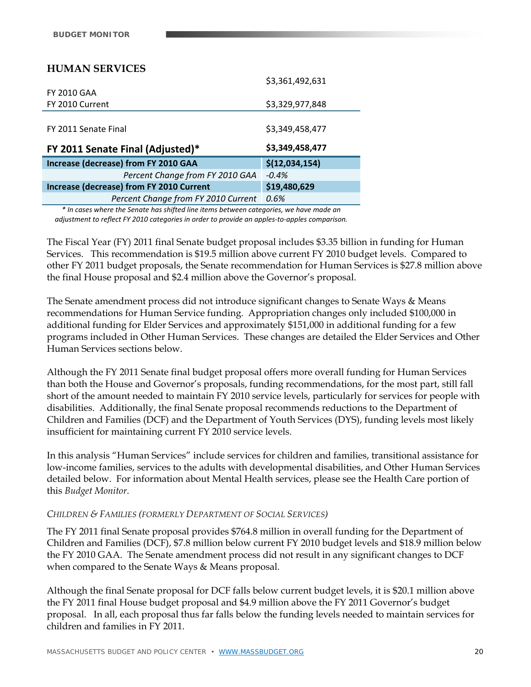# **HUMAN SERVICES**

|                                                 | \$3,361,492,631 |
|-------------------------------------------------|-----------------|
| <b>FY 2010 GAA</b>                              |                 |
| FY 2010 Current                                 | \$3,329,977,848 |
|                                                 |                 |
| FY 2011 Senate Final                            | \$3,349,458,477 |
|                                                 |                 |
|                                                 |                 |
| FY 2011 Senate Final (Adjusted)*                | \$3,349,458,477 |
| Increase (decrease) from FY 2010 GAA            | \$(12,034,154)  |
| Percent Change from FY 2010 GAA                 | $-0.4%$         |
| <b>Increase (decrease) from FY 2010 Current</b> | \$19,480,629    |

*\* In cases where the Senate has shifted line items between categories, we have made an adjustment to reflect FY 2010 categories in order to provide an apples‐to‐apples comparison.*

The Fiscal Year (FY) 2011 final Senate budget proposal includes \$3.35 billion in funding for Human Services. This recommendation is \$19.5 million above current FY 2010 budget levels. Compared to other FY 2011 budget proposals, the Senate recommendation for Human Services is \$27.8 million above the final House proposal and \$2.4 million above the Governor's proposal.

The Senate amendment process did not introduce significant changes to Senate Ways & Means recommendations for Human Service funding. Appropriation changes only included \$100,000 in additional funding for Elder Services and approximately \$151,000 in additional funding for a few programs included in Other Human Services. These changes are detailed the Elder Services and Other Human Services sections below.

Although the FY 2011 Senate final budget proposal offers more overall funding for Human Services than both the House and Governor's proposals, funding recommendations, for the most part, still fall short of the amount needed to maintain FY 2010 service levels, particularly for services for people with disabilities. Additionally, the final Senate proposal recommends reductions to the Department of Children and Families (DCF) and the Department of Youth Services (DYS), funding levels most likely insufficient for maintaining current FY 2010 service levels.

In this analysis "Human Services" include services for children and families, transitional assistance for low-income families, services to the adults with developmental disabilities, and Other Human Services detailed below. For information about Mental Health services, please see the Health Care portion of this *Budget Monitor*.

#### *CHILDREN & FAMILIES (FORMERLY DEPARTMENT OF SOCIAL SERVICES)*

The FY 2011 final Senate proposal provides \$764.8 million in overall funding for the Department of Children and Families (DCF), \$7.8 million below current FY 2010 budget levels and \$18.9 million below the FY 2010 GAA. The Senate amendment process did not result in any significant changes to DCF when compared to the Senate Ways & Means proposal.

Although the final Senate proposal for DCF falls below current budget levels, it is \$20.1 million above the FY 2011 final House budget proposal and \$4.9 million above the FY 2011 Governor's budget proposal. In all, each proposal thus far falls below the funding levels needed to maintain services for children and families in FY 2011.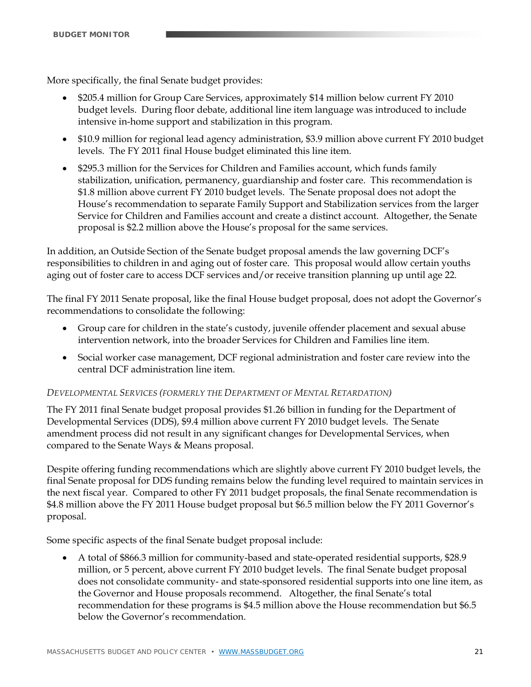More specifically, the final Senate budget provides:

- \$205.4 million for Group Care Services, approximately \$14 million below current FY 2010 budget levels. During floor debate, additional line item language was introduced to include intensive in-home support and stabilization in this program.
- \$10.9 million for regional lead agency administration, \$3.9 million above current FY 2010 budget levels. The FY 2011 final House budget eliminated this line item.
- \$295.3 million for the Services for Children and Families account, which funds family stabilization, unification, permanency, guardianship and foster care. This recommendation is \$1.8 million above current FY 2010 budget levels. The Senate proposal does not adopt the House's recommendation to separate Family Support and Stabilization services from the larger Service for Children and Families account and create a distinct account. Altogether, the Senate proposal is \$2.2 million above the House's proposal for the same services.

In addition, an Outside Section of the Senate budget proposal amends the law governing DCF's responsibilities to children in and aging out of foster care. This proposal would allow certain youths aging out of foster care to access DCF services and/or receive transition planning up until age 22.

The final FY 2011 Senate proposal, like the final House budget proposal, does not adopt the Governor's recommendations to consolidate the following:

- Group care for children in the state's custody, juvenile offender placement and sexual abuse intervention network, into the broader Services for Children and Families line item.
- Social worker case management, DCF regional administration and foster care review into the central DCF administration line item.

#### *DEVELOPMENTAL SERVICES (FORMERLY THE DEPARTMENT OF MENTAL RETARDATION)*

The FY 2011 final Senate budget proposal provides \$1.26 billion in funding for the Department of Developmental Services (DDS), \$9.4 million above current FY 2010 budget levels. The Senate amendment process did not result in any significant changes for Developmental Services, when compared to the Senate Ways & Means proposal.

Despite offering funding recommendations which are slightly above current FY 2010 budget levels, the final Senate proposal for DDS funding remains below the funding level required to maintain services in the next fiscal year. Compared to other FY 2011 budget proposals, the final Senate recommendation is \$4.8 million above the FY 2011 House budget proposal but \$6.5 million below the FY 2011 Governor's proposal.

Some specific aspects of the final Senate budget proposal include:

 A total of \$866.3 million for community-based and state-operated residential supports, \$28.9 million, or 5 percent, above current FY 2010 budget levels. The final Senate budget proposal does not consolidate community- and state-sponsored residential supports into one line item, as the Governor and House proposals recommend. Altogether, the final Senate's total recommendation for these programs is \$4.5 million above the House recommendation but \$6.5 below the Governor's recommendation.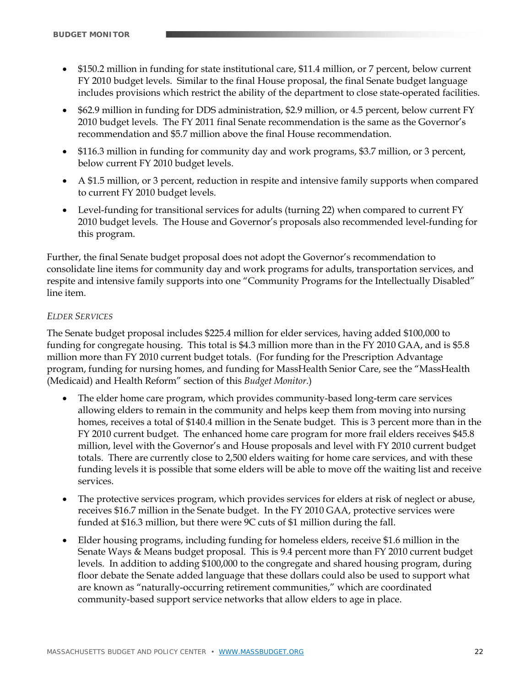- \$150.2 million in funding for state institutional care, \$11.4 million, or 7 percent, below current FY 2010 budget levels. Similar to the final House proposal, the final Senate budget language includes provisions which restrict the ability of the department to close state-operated facilities.
- \$62.9 million in funding for DDS administration, \$2.9 million, or 4.5 percent, below current FY 2010 budget levels. The FY 2011 final Senate recommendation is the same as the Governor's recommendation and \$5.7 million above the final House recommendation.
- \$116.3 million in funding for community day and work programs, \$3.7 million, or 3 percent, below current FY 2010 budget levels.
- A \$1.5 million, or 3 percent, reduction in respite and intensive family supports when compared to current FY 2010 budget levels.
- Level-funding for transitional services for adults (turning 22) when compared to current FY 2010 budget levels. The House and Governor's proposals also recommended level-funding for this program.

Further, the final Senate budget proposal does not adopt the Governor's recommendation to consolidate line items for community day and work programs for adults, transportation services, and respite and intensive family supports into one "Community Programs for the Intellectually Disabled" line item.

#### *ELDER SERVICES*

The Senate budget proposal includes \$225.4 million for elder services, having added \$100,000 to funding for congregate housing. This total is \$4.3 million more than in the FY 2010 GAA, and is \$5.8 million more than FY 2010 current budget totals. (For funding for the Prescription Advantage program, funding for nursing homes, and funding for MassHealth Senior Care, see the "MassHealth (Medicaid) and Health Reform" section of this *Budget Monitor*.)

- The elder home care program, which provides community-based long-term care services allowing elders to remain in the community and helps keep them from moving into nursing homes, receives a total of \$140.4 million in the Senate budget. This is 3 percent more than in the FY 2010 current budget. The enhanced home care program for more frail elders receives \$45.8 million, level with the Governor's and House proposals and level with FY 2010 current budget totals. There are currently close to 2,500 elders waiting for home care services, and with these funding levels it is possible that some elders will be able to move off the waiting list and receive services.
- The protective services program, which provides services for elders at risk of neglect or abuse, receives \$16.7 million in the Senate budget. In the FY 2010 GAA, protective services were funded at \$16.3 million, but there were 9C cuts of \$1 million during the fall.
- Elder housing programs, including funding for homeless elders, receive \$1.6 million in the Senate Ways & Means budget proposal. This is 9.4 percent more than FY 2010 current budget levels. In addition to adding \$100,000 to the congregate and shared housing program, during floor debate the Senate added language that these dollars could also be used to support what are known as "naturally-occurring retirement communities," which are coordinated community-based support service networks that allow elders to age in place.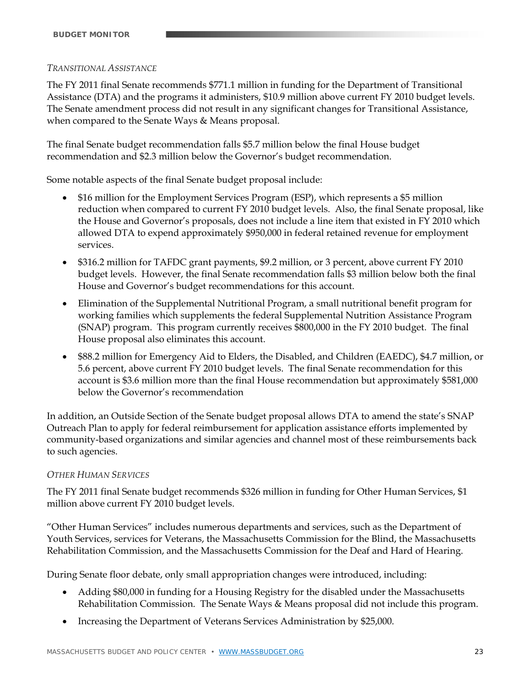#### *TRANSITIONAL ASSISTANCE*

The FY 2011 final Senate recommends \$771.1 million in funding for the Department of Transitional Assistance (DTA) and the programs it administers, \$10.9 million above current FY 2010 budget levels. The Senate amendment process did not result in any significant changes for Transitional Assistance, when compared to the Senate Ways & Means proposal.

The final Senate budget recommendation falls \$5.7 million below the final House budget recommendation and \$2.3 million below the Governor's budget recommendation.

Some notable aspects of the final Senate budget proposal include:

- \$16 million for the Employment Services Program (ESP), which represents a \$5 million reduction when compared to current FY 2010 budget levels. Also, the final Senate proposal, like the House and Governor's proposals, does not include a line item that existed in FY 2010 which allowed DTA to expend approximately \$950,000 in federal retained revenue for employment services.
- \$316.2 million for TAFDC grant payments, \$9.2 million, or 3 percent, above current FY 2010 budget levels. However, the final Senate recommendation falls \$3 million below both the final House and Governor's budget recommendations for this account.
- Elimination of the Supplemental Nutritional Program, a small nutritional benefit program for working families which supplements the federal Supplemental Nutrition Assistance Program (SNAP) program. This program currently receives \$800,000 in the FY 2010 budget. The final House proposal also eliminates this account.
- \$88.2 million for Emergency Aid to Elders, the Disabled, and Children (EAEDC), \$4.7 million, or 5.6 percent, above current FY 2010 budget levels. The final Senate recommendation for this account is \$3.6 million more than the final House recommendation but approximately \$581,000 below the Governor's recommendation

In addition, an Outside Section of the Senate budget proposal allows DTA to amend the state's SNAP Outreach Plan to apply for federal reimbursement for application assistance efforts implemented by community-based organizations and similar agencies and channel most of these reimbursements back to such agencies.

#### *OTHER HUMAN SERVICES*

The FY 2011 final Senate budget recommends \$326 million in funding for Other Human Services, \$1 million above current FY 2010 budget levels.

"Other Human Services" includes numerous departments and services, such as the Department of Youth Services, services for Veterans, the Massachusetts Commission for the Blind, the Massachusetts Rehabilitation Commission, and the Massachusetts Commission for the Deaf and Hard of Hearing.

During Senate floor debate, only small appropriation changes were introduced, including:

- Adding \$80,000 in funding for a Housing Registry for the disabled under the Massachusetts Rehabilitation Commission. The Senate Ways & Means proposal did not include this program.
- Increasing the Department of Veterans Services Administration by \$25,000.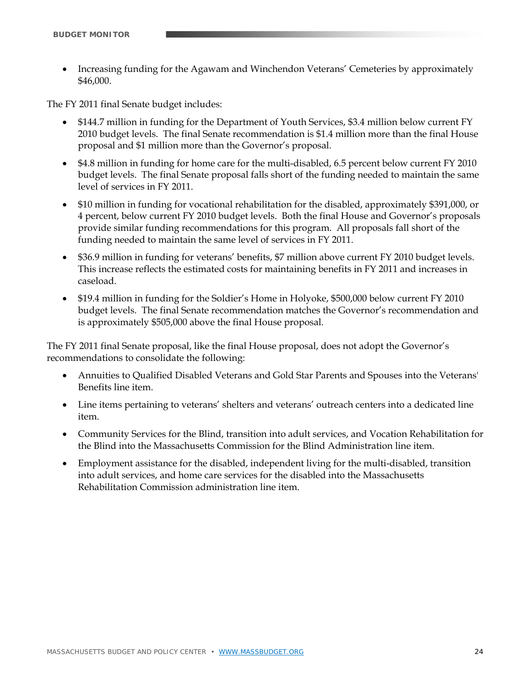Increasing funding for the Agawam and Winchendon Veterans' Cemeteries by approximately \$46,000.

The FY 2011 final Senate budget includes:

- \$144.7 million in funding for the Department of Youth Services, \$3.4 million below current FY 2010 budget levels. The final Senate recommendation is \$1.4 million more than the final House proposal and \$1 million more than the Governor's proposal.
- \$4.8 million in funding for home care for the multi-disabled, 6.5 percent below current FY 2010 budget levels. The final Senate proposal falls short of the funding needed to maintain the same level of services in FY 2011.
- \$10 million in funding for vocational rehabilitation for the disabled, approximately \$391,000, or 4 percent, below current FY 2010 budget levels. Both the final House and Governor's proposals provide similar funding recommendations for this program. All proposals fall short of the funding needed to maintain the same level of services in FY 2011.
- \$36.9 million in funding for veterans' benefits, \$7 million above current FY 2010 budget levels. This increase reflects the estimated costs for maintaining benefits in FY 2011 and increases in caseload.
- \$19.4 million in funding for the Soldier's Home in Holyoke, \$500,000 below current FY 2010 budget levels. The final Senate recommendation matches the Governor's recommendation and is approximately \$505,000 above the final House proposal.

The FY 2011 final Senate proposal, like the final House proposal, does not adopt the Governor's recommendations to consolidate the following:

- Annuities to Qualified Disabled Veterans and Gold Star Parents and Spouses into the Veterans' Benefits line item.
- Line items pertaining to veterans' shelters and veterans' outreach centers into a dedicated line item.
- Community Services for the Blind, transition into adult services, and Vocation Rehabilitation for the Blind into the Massachusetts Commission for the Blind Administration line item.
- Employment assistance for the disabled, independent living for the multi-disabled, transition into adult services, and home care services for the disabled into the Massachusetts Rehabilitation Commission administration line item.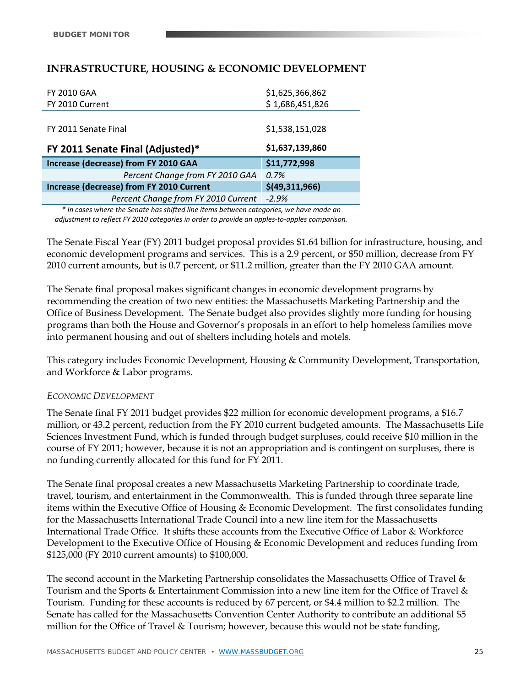# **INFRASTRUCTURE, HOUSING & ECONOMIC DEVELOPMENT**

| <b>FY 2010 GAA</b>                       | \$1,625,366,862 |
|------------------------------------------|-----------------|
| FY 2010 Current                          | \$1,686,451,826 |
|                                          |                 |
| FY 2011 Senate Final                     | \$1,538,151,028 |
|                                          | \$1,637,139,860 |
| FY 2011 Senate Final (Adjusted)*         |                 |
| Increase (decrease) from FY 2010 GAA     | \$11,772,998    |
| Percent Change from FY 2010 GAA          | 0.7%            |
| Increase (decrease) from FY 2010 Current | \$(49,311,966)  |
| Percent Change from FY 2010 Current      | $-2.9%$         |

*\* In cases where the Senate has shifted line items between categories, we have made an adjustment to reflect FY 2010 categories in order to provide an apples‐to‐apples comparison.*

The Senate Fiscal Year (FY) 2011 budget proposal provides \$1.64 billion for infrastructure, housing, and economic development programs and services. This is a 2.9 percent, or \$50 million, decrease from FY 2010 current amounts, but is 0.7 percent, or \$11.2 million, greater than the FY 2010 GAA amount.

The Senate final proposal makes significant changes in economic development programs by recommending the creation of two new entities: the Massachusetts Marketing Partnership and the Office of Business Development. The Senate budget also provides slightly more funding for housing programs than both the House and Governor's proposals in an effort to help homeless families move into permanent housing and out of shelters including hotels and motels.

This category includes Economic Development, Housing & Community Development, Transportation, and Workforce & Labor programs.

#### *ECONOMIC DEVELOPMENT*

The Senate final FY 2011 budget provides \$22 million for economic development programs, a \$16.7 million, or 43.2 percent, reduction from the FY 2010 current budgeted amounts. The Massachusetts Life Sciences Investment Fund, which is funded through budget surpluses, could receive \$10 million in the course of FY 2011; however, because it is not an appropriation and is contingent on surpluses, there is no funding currently allocated for this fund for FY 2011.

The Senate final proposal creates a new Massachusetts Marketing Partnership to coordinate trade, travel, tourism, and entertainment in the Commonwealth. This is funded through three separate line items within the Executive Office of Housing & Economic Development. The first consolidates funding for the Massachusetts International Trade Council into a new line item for the Massachusetts International Trade Office. It shifts these accounts from the Executive Office of Labor & Workforce Development to the Executive Office of Housing & Economic Development and reduces funding from \$125,000 (FY 2010 current amounts) to \$100,000.

The second account in the Marketing Partnership consolidates the Massachusetts Office of Travel & Tourism and the Sports & Entertainment Commission into a new line item for the Office of Travel & Tourism. Funding for these accounts is reduced by 67 percent, or \$4.4 million to \$2.2 million. The Senate has called for the Massachusetts Convention Center Authority to contribute an additional \$5 million for the Office of Travel & Tourism; however, because this would not be state funding,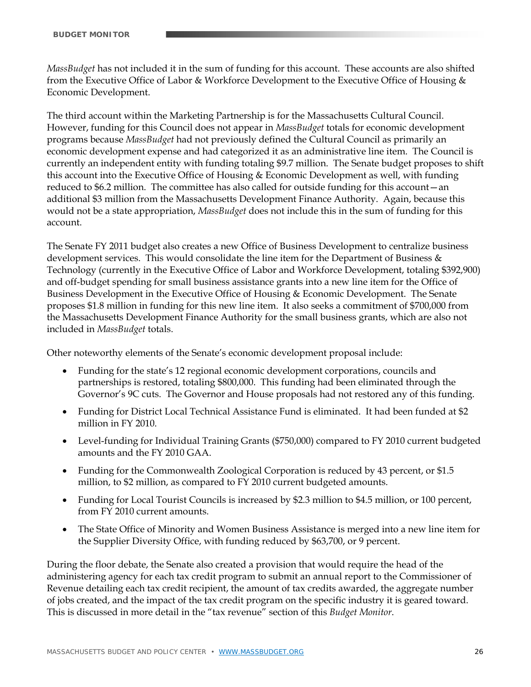*MassBudget* has not included it in the sum of funding for this account. These accounts are also shifted from the Executive Office of Labor & Workforce Development to the Executive Office of Housing & Economic Development.

The third account within the Marketing Partnership is for the Massachusetts Cultural Council. However, funding for this Council does not appear in *MassBudget* totals for economic development programs because *MassBudget* had not previously defined the Cultural Council as primarily an economic development expense and had categorized it as an administrative line item. The Council is currently an independent entity with funding totaling \$9.7 million. The Senate budget proposes to shift this account into the Executive Office of Housing & Economic Development as well, with funding reduced to \$6.2 million. The committee has also called for outside funding for this account—an additional \$3 million from the Massachusetts Development Finance Authority. Again, because this would not be a state appropriation, *MassBudget* does not include this in the sum of funding for this account.

The Senate FY 2011 budget also creates a new Office of Business Development to centralize business development services. This would consolidate the line item for the Department of Business  $\&$ Technology (currently in the Executive Office of Labor and Workforce Development, totaling \$392,900) and off-budget spending for small business assistance grants into a new line item for the Office of Business Development in the Executive Office of Housing & Economic Development. The Senate proposes \$1.8 million in funding for this new line item. It also seeks a commitment of \$700,000 from the Massachusetts Development Finance Authority for the small business grants, which are also not included in *MassBudget* totals.

Other noteworthy elements of the Senate's economic development proposal include:

- Funding for the state's 12 regional economic development corporations, councils and partnerships is restored, totaling \$800,000. This funding had been eliminated through the Governor's 9C cuts. The Governor and House proposals had not restored any of this funding.
- Funding for District Local Technical Assistance Fund is eliminated. It had been funded at \$2 million in FY 2010.
- Level-funding for Individual Training Grants (\$750,000) compared to FY 2010 current budgeted amounts and the FY 2010 GAA.
- Funding for the Commonwealth Zoological Corporation is reduced by 43 percent, or \$1.5 million, to \$2 million, as compared to FY 2010 current budgeted amounts.
- Funding for Local Tourist Councils is increased by \$2.3 million to \$4.5 million, or 100 percent, from FY 2010 current amounts.
- The State Office of Minority and Women Business Assistance is merged into a new line item for the Supplier Diversity Office, with funding reduced by \$63,700, or 9 percent.

During the floor debate, the Senate also created a provision that would require the head of the administering agency for each tax credit program to submit an annual report to the Commissioner of Revenue detailing each tax credit recipient, the amount of tax credits awarded, the aggregate number of jobs created, and the impact of the tax credit program on the specific industry it is geared toward. This is discussed in more detail in the "tax revenue" section of this *Budget Monitor*.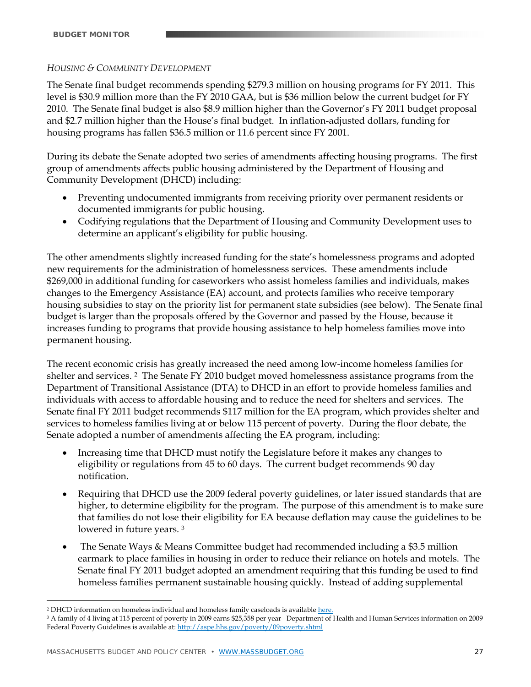#### *HOUSING & COMMUNITY DEVELOPMENT*

The Senate final budget recommends spending \$279.3 million on housing programs for FY 2011. This level is \$30.9 million more than the FY 2010 GAA, but is \$36 million below the current budget for FY 2010. The Senate final budget is also \$8.9 million higher than the Governor's FY 2011 budget proposal and \$2.7 million higher than the House's final budget. In inflation-adjusted dollars, funding for housing programs has fallen \$36.5 million or 11.6 percent since FY 2001.

During its debate the Senate adopted two series of amendments affecting housing programs. The first group of amendments affects public housing administered by the Department of Housing and Community Development (DHCD) including:

- Preventing undocumented immigrants from receiving priority over permanent residents or documented immigrants for public housing.
- Codifying regulations that the Department of Housing and Community Development uses to determine an applicant's eligibility for public housing.

The other amendments slightly increased funding for the state's homelessness programs and adopted new requirements for the administration of homelessness services. These amendments include \$269,000 in additional funding for caseworkers who assist homeless families and individuals, makes changes to the Emergency Assistance (EA) account, and protects families who receive temporary housing subsidies to stay on the priority list for permanent state subsidies (see below). The Senate final budget is larger than the proposals offered by the Governor and passed by the House, because it increases funding to programs that provide housing assistance to help homeless families move into permanent housing.

The recent economic crisis has greatly increased the need among low-income homeless families for shelter and services. 2 The Senate FY 2010 budget moved homelessness assistance programs from the Department of Transitional Assistance (DTA) to DHCD in an effort to provide homeless families and individuals with access to affordable housing and to reduce the need for shelters and services. The Senate final FY 2011 budget recommends \$117 million for the EA program, which provides shelter and services to homeless families living at or below 115 percent of poverty. During the floor debate, the Senate adopted a number of amendments affecting the EA program, including:

- Increasing time that DHCD must notify the Legislature before it makes any changes to eligibility or regulations from 45 to 60 days. The current budget recommends 90 day notification.
- Requiring that DHCD use the 2009 federal poverty guidelines, or later issued standards that are higher, to determine eligibility for the program. The purpose of this amendment is to make sure that families do not lose their eligibility for EA because deflation may cause the guidelines to be lowered in future years. 3
- The Senate Ways & Means Committee budget had recommended including a \$3.5 million earmark to place families in housing in order to reduce their reliance on hotels and motels. The Senate final FY 2011 budget adopted an amendment requiring that this funding be used to find homeless families permanent sustainable housing quickly. Instead of adding supplemental

<u>.</u>

<sup>&</sup>lt;sup>2</sup> DHCD information on homeless individual and homeless family caseloads is available here.

<sup>3</sup> A family of 4 living at 115 percent of poverty in 2009 earns \$25,358 per year Department of Health and Human Services information on 2009 Federal Poverty Guidelines is available at: http://aspe.hhs.gov/poverty/09poverty.shtml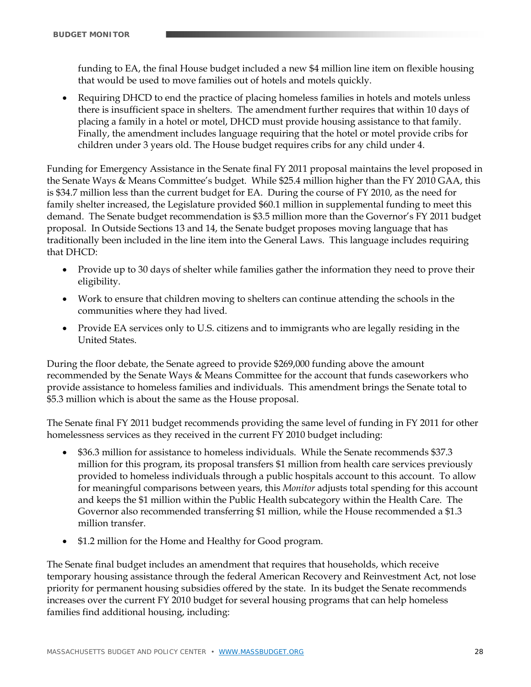funding to EA, the final House budget included a new \$4 million line item on flexible housing that would be used to move families out of hotels and motels quickly.

 Requiring DHCD to end the practice of placing homeless families in hotels and motels unless there is insufficient space in shelters. The amendment further requires that within 10 days of placing a family in a hotel or motel, DHCD must provide housing assistance to that family. Finally, the amendment includes language requiring that the hotel or motel provide cribs for children under 3 years old. The House budget requires cribs for any child under 4.

Funding for Emergency Assistance in the Senate final FY 2011 proposal maintains the level proposed in the Senate Ways & Means Committee's budget. While \$25.4 million higher than the FY 2010 GAA, this is \$34.7 million less than the current budget for EA. During the course of FY 2010, as the need for family shelter increased, the Legislature provided \$60.1 million in supplemental funding to meet this demand. The Senate budget recommendation is \$3.5 million more than the Governor's FY 2011 budget proposal. In Outside Sections 13 and 14, the Senate budget proposes moving language that has traditionally been included in the line item into the General Laws. This language includes requiring that DHCD:

- Provide up to 30 days of shelter while families gather the information they need to prove their eligibility.
- Work to ensure that children moving to shelters can continue attending the schools in the communities where they had lived.
- Provide EA services only to U.S. citizens and to immigrants who are legally residing in the United States.

During the floor debate, the Senate agreed to provide \$269,000 funding above the amount recommended by the Senate Ways & Means Committee for the account that funds caseworkers who provide assistance to homeless families and individuals. This amendment brings the Senate total to \$5.3 million which is about the same as the House proposal.

The Senate final FY 2011 budget recommends providing the same level of funding in FY 2011 for other homelessness services as they received in the current FY 2010 budget including:

- \$36.3 million for assistance to homeless individuals. While the Senate recommends \$37.3 million for this program, its proposal transfers \$1 million from health care services previously provided to homeless individuals through a public hospitals account to this account. To allow for meaningful comparisons between years, this *Monitor* adjusts total spending for this account and keeps the \$1 million within the Public Health subcategory within the Health Care. The Governor also recommended transferring \$1 million, while the House recommended a \$1.3 million transfer.
- \$1.2 million for the Home and Healthy for Good program.

The Senate final budget includes an amendment that requires that households, which receive temporary housing assistance through the federal American Recovery and Reinvestment Act, not lose priority for permanent housing subsidies offered by the state. In its budget the Senate recommends increases over the current FY 2010 budget for several housing programs that can help homeless families find additional housing, including: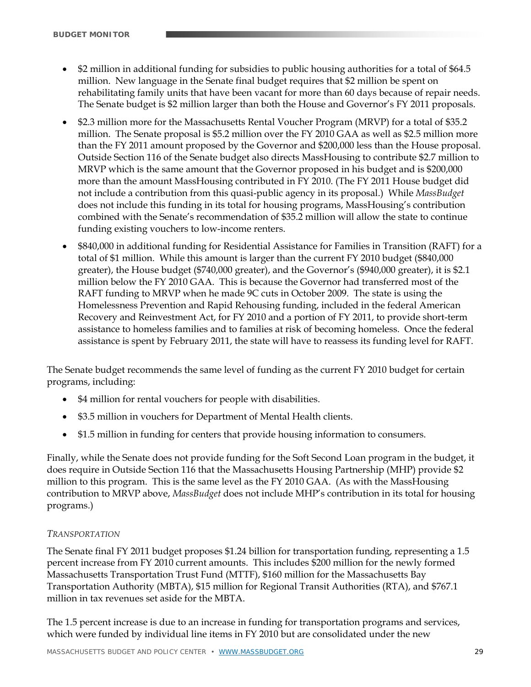- \$2 million in additional funding for subsidies to public housing authorities for a total of \$64.5 million. New language in the Senate final budget requires that \$2 million be spent on rehabilitating family units that have been vacant for more than 60 days because of repair needs. The Senate budget is \$2 million larger than both the House and Governor's FY 2011 proposals.
- \$2.3 million more for the Massachusetts Rental Voucher Program (MRVP) for a total of \$35.2 million. The Senate proposal is \$5.2 million over the FY 2010 GAA as well as \$2.5 million more than the FY 2011 amount proposed by the Governor and \$200,000 less than the House proposal. Outside Section 116 of the Senate budget also directs MassHousing to contribute \$2.7 million to MRVP which is the same amount that the Governor proposed in his budget and is \$200,000 more than the amount MassHousing contributed in FY 2010. (The FY 2011 House budget did not include a contribution from this quasi-public agency in its proposal.) While *MassBudget*  does not include this funding in its total for housing programs, MassHousing's contribution combined with the Senate's recommendation of \$35.2 million will allow the state to continue funding existing vouchers to low-income renters.
- \$840,000 in additional funding for Residential Assistance for Families in Transition (RAFT) for a total of \$1 million. While this amount is larger than the current FY 2010 budget (\$840,000 greater), the House budget (\$740,000 greater), and the Governor's (\$940,000 greater), it is \$2.1 million below the FY 2010 GAA. This is because the Governor had transferred most of the RAFT funding to MRVP when he made 9C cuts in October 2009. The state is using the Homelessness Prevention and Rapid Rehousing funding, included in the federal American Recovery and Reinvestment Act, for FY 2010 and a portion of FY 2011, to provide short-term assistance to homeless families and to families at risk of becoming homeless. Once the federal assistance is spent by February 2011, the state will have to reassess its funding level for RAFT.

The Senate budget recommends the same level of funding as the current FY 2010 budget for certain programs, including:

- \$4 million for rental vouchers for people with disabilities.
- \$3.5 million in vouchers for Department of Mental Health clients.
- \$1.5 million in funding for centers that provide housing information to consumers.

Finally, while the Senate does not provide funding for the Soft Second Loan program in the budget, it does require in Outside Section 116 that the Massachusetts Housing Partnership (MHP) provide \$2 million to this program. This is the same level as the FY 2010 GAA. (As with the MassHousing contribution to MRVP above, *MassBudget* does not include MHP's contribution in its total for housing programs.)

#### *TRANSPORTATION*

The Senate final FY 2011 budget proposes \$1.24 billion for transportation funding, representing a 1.5 percent increase from FY 2010 current amounts. This includes \$200 million for the newly formed Massachusetts Transportation Trust Fund (MTTF), \$160 million for the Massachusetts Bay Transportation Authority (MBTA), \$15 million for Regional Transit Authorities (RTA), and \$767.1 million in tax revenues set aside for the MBTA.

The 1.5 percent increase is due to an increase in funding for transportation programs and services, which were funded by individual line items in FY 2010 but are consolidated under the new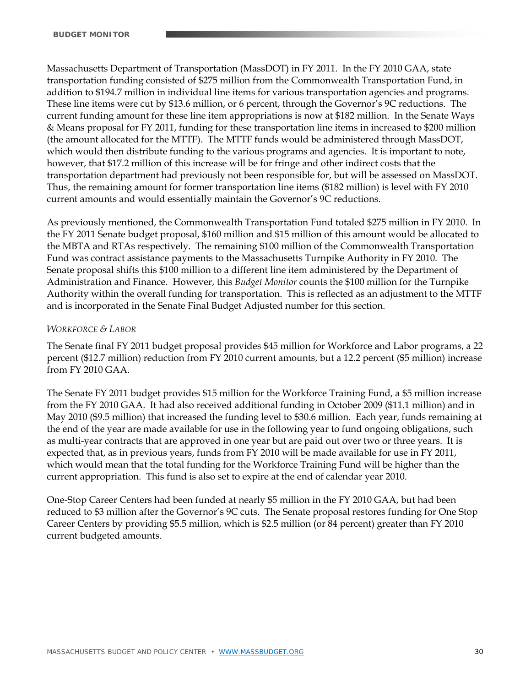Massachusetts Department of Transportation (MassDOT) in FY 2011. In the FY 2010 GAA, state transportation funding consisted of \$275 million from the Commonwealth Transportation Fund, in addition to \$194.7 million in individual line items for various transportation agencies and programs. These line items were cut by \$13.6 million, or 6 percent, through the Governor's 9C reductions. The current funding amount for these line item appropriations is now at \$182 million. In the Senate Ways & Means proposal for FY 2011, funding for these transportation line items in increased to \$200 million (the amount allocated for the MTTF). The MTTF funds would be administered through MassDOT, which would then distribute funding to the various programs and agencies. It is important to note, however, that \$17.2 million of this increase will be for fringe and other indirect costs that the transportation department had previously not been responsible for, but will be assessed on MassDOT. Thus, the remaining amount for former transportation line items (\$182 million) is level with FY 2010 current amounts and would essentially maintain the Governor's 9C reductions.

As previously mentioned, the Commonwealth Transportation Fund totaled \$275 million in FY 2010. In the FY 2011 Senate budget proposal, \$160 million and \$15 million of this amount would be allocated to the MBTA and RTAs respectively. The remaining \$100 million of the Commonwealth Transportation Fund was contract assistance payments to the Massachusetts Turnpike Authority in FY 2010. The Senate proposal shifts this \$100 million to a different line item administered by the Department of Administration and Finance. However, this *Budget Monitor* counts the \$100 million for the Turnpike Authority within the overall funding for transportation. This is reflected as an adjustment to the MTTF and is incorporated in the Senate Final Budget Adjusted number for this section.

#### *WORKFORCE & LABOR*

The Senate final FY 2011 budget proposal provides \$45 million for Workforce and Labor programs, a 22 percent (\$12.7 million) reduction from FY 2010 current amounts, but a 12.2 percent (\$5 million) increase from FY 2010 GAA.

The Senate FY 2011 budget provides \$15 million for the Workforce Training Fund, a \$5 million increase from the FY 2010 GAA. It had also received additional funding in October 2009 (\$11.1 million) and in May 2010 (\$9.5 million) that increased the funding level to \$30.6 million. Each year, funds remaining at the end of the year are made available for use in the following year to fund ongoing obligations, such as multi-year contracts that are approved in one year but are paid out over two or three years. It is expected that, as in previous years, funds from FY 2010 will be made available for use in FY 2011, which would mean that the total funding for the Workforce Training Fund will be higher than the current appropriation. This fund is also set to expire at the end of calendar year 2010.

One-Stop Career Centers had been funded at nearly \$5 million in the FY 2010 GAA, but had been reduced to \$3 million after the Governor's 9C cuts. The Senate proposal restores funding for One Stop Career Centers by providing \$5.5 million, which is \$2.5 million (or 84 percent) greater than FY 2010 current budgeted amounts.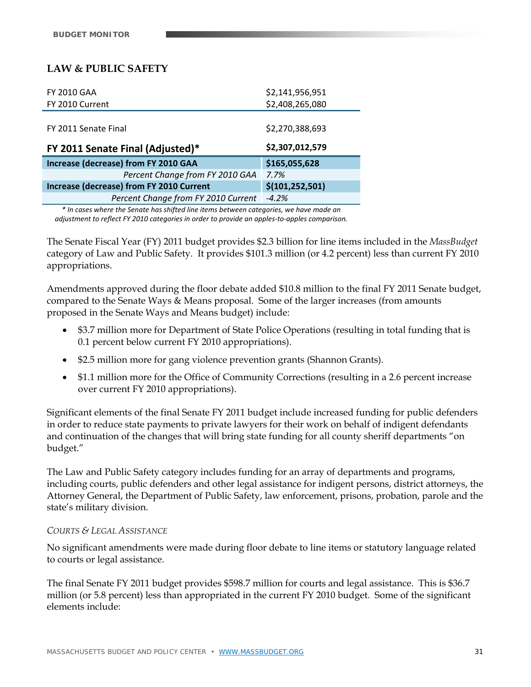# **LAW & PUBLIC SAFETY**

| <b>FY 2010 GAA</b>                       | \$2,141,956,951   |
|------------------------------------------|-------------------|
| FY 2010 Current                          | \$2,408,265,080   |
|                                          |                   |
| FY 2011 Senate Final                     | \$2,270,388,693   |
|                                          | \$2,307,012,579   |
| FY 2011 Senate Final (Adjusted)*         |                   |
| Increase (decrease) from FY 2010 GAA     | \$165,055,628     |
| Percent Change from FY 2010 GAA          | 7.7%              |
| Increase (decrease) from FY 2010 Current | \$(101, 252, 501) |
| Percent Change from FY 2010 Current      | $-4.2%$           |

*\* In cases where the Senate has shifted line items between categories, we have made an adjustment to reflect FY 2010 categories in order to provide an apples‐to‐apples comparison.*

The Senate Fiscal Year (FY) 2011 budget provides \$2.3 billion for line items included in the *MassBudget*  category of Law and Public Safety. It provides \$101.3 million (or 4.2 percent) less than current FY 2010 appropriations.

Amendments approved during the floor debate added \$10.8 million to the final FY 2011 Senate budget, compared to the Senate Ways & Means proposal. Some of the larger increases (from amounts proposed in the Senate Ways and Means budget) include:

- \$3.7 million more for Department of State Police Operations (resulting in total funding that is 0.1 percent below current FY 2010 appropriations).
- \$2.5 million more for gang violence prevention grants (Shannon Grants).
- \$1.1 million more for the Office of Community Corrections (resulting in a 2.6 percent increase over current FY 2010 appropriations).

Significant elements of the final Senate FY 2011 budget include increased funding for public defenders in order to reduce state payments to private lawyers for their work on behalf of indigent defendants and continuation of the changes that will bring state funding for all county sheriff departments "on budget."

The Law and Public Safety category includes funding for an array of departments and programs, including courts, public defenders and other legal assistance for indigent persons, district attorneys, the Attorney General, the Department of Public Safety, law enforcement, prisons, probation, parole and the state's military division.

#### *COURTS & LEGAL ASSISTANCE*

No significant amendments were made during floor debate to line items or statutory language related to courts or legal assistance.

The final Senate FY 2011 budget provides \$598.7 million for courts and legal assistance. This is \$36.7 million (or 5.8 percent) less than appropriated in the current FY 2010 budget. Some of the significant elements include: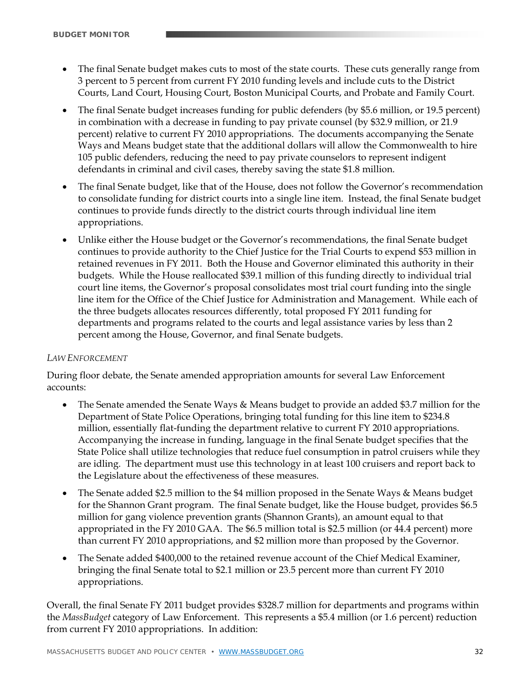- The final Senate budget makes cuts to most of the state courts. These cuts generally range from 3 percent to 5 percent from current FY 2010 funding levels and include cuts to the District Courts, Land Court, Housing Court, Boston Municipal Courts, and Probate and Family Court.
- The final Senate budget increases funding for public defenders (by \$5.6 million, or 19.5 percent) in combination with a decrease in funding to pay private counsel (by \$32.9 million, or 21.9 percent) relative to current FY 2010 appropriations. The documents accompanying the Senate Ways and Means budget state that the additional dollars will allow the Commonwealth to hire 105 public defenders, reducing the need to pay private counselors to represent indigent defendants in criminal and civil cases, thereby saving the state \$1.8 million.
- The final Senate budget, like that of the House, does not follow the Governor's recommendation to consolidate funding for district courts into a single line item. Instead, the final Senate budget continues to provide funds directly to the district courts through individual line item appropriations.
- Unlike either the House budget or the Governor's recommendations, the final Senate budget continues to provide authority to the Chief Justice for the Trial Courts to expend \$53 million in retained revenues in FY 2011. Both the House and Governor eliminated this authority in their budgets. While the House reallocated \$39.1 million of this funding directly to individual trial court line items, the Governor's proposal consolidates most trial court funding into the single line item for the Office of the Chief Justice for Administration and Management. While each of the three budgets allocates resources differently, total proposed FY 2011 funding for departments and programs related to the courts and legal assistance varies by less than 2 percent among the House, Governor, and final Senate budgets.

#### *LAW ENFORCEMENT*

During floor debate, the Senate amended appropriation amounts for several Law Enforcement accounts:

- The Senate amended the Senate Ways & Means budget to provide an added \$3.7 million for the Department of State Police Operations, bringing total funding for this line item to \$234.8 million, essentially flat-funding the department relative to current FY 2010 appropriations. Accompanying the increase in funding, language in the final Senate budget specifies that the State Police shall utilize technologies that reduce fuel consumption in patrol cruisers while they are idling. The department must use this technology in at least 100 cruisers and report back to the Legislature about the effectiveness of these measures.
- The Senate added \$2.5 million to the \$4 million proposed in the Senate Ways & Means budget for the Shannon Grant program. The final Senate budget, like the House budget, provides \$6.5 million for gang violence prevention grants (Shannon Grants), an amount equal to that appropriated in the FY 2010 GAA. The \$6.5 million total is \$2.5 million (or 44.4 percent) more than current FY 2010 appropriations, and \$2 million more than proposed by the Governor.
- The Senate added \$400,000 to the retained revenue account of the Chief Medical Examiner, bringing the final Senate total to \$2.1 million or 23.5 percent more than current FY 2010 appropriations.

Overall, the final Senate FY 2011 budget provides \$328.7 million for departments and programs within the *MassBudget* category of Law Enforcement. This represents a \$5.4 million (or 1.6 percent) reduction from current FY 2010 appropriations. In addition: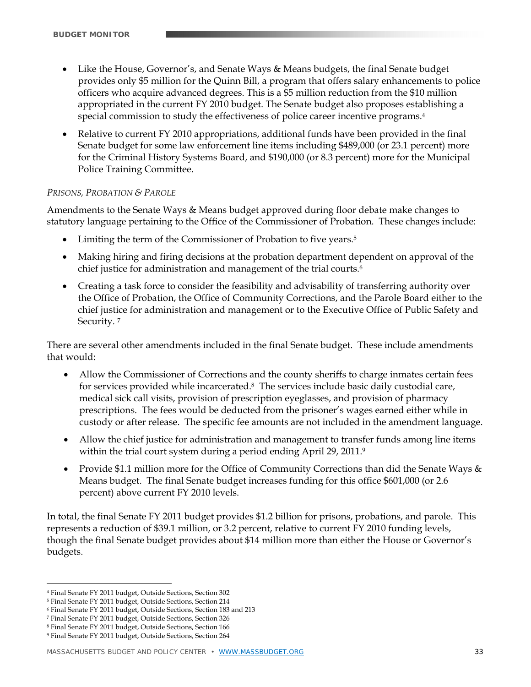- Like the House, Governor's, and Senate Ways & Means budgets, the final Senate budget provides only \$5 million for the Quinn Bill, a program that offers salary enhancements to police officers who acquire advanced degrees. This is a \$5 million reduction from the \$10 million appropriated in the current FY 2010 budget. The Senate budget also proposes establishing a special commission to study the effectiveness of police career incentive programs.4
- Relative to current FY 2010 appropriations, additional funds have been provided in the final Senate budget for some law enforcement line items including \$489,000 (or 23.1 percent) more for the Criminal History Systems Board, and \$190,000 (or 8.3 percent) more for the Municipal Police Training Committee.

#### *PRISONS, PROBATION & PAROLE*

Amendments to the Senate Ways & Means budget approved during floor debate make changes to statutory language pertaining to the Office of the Commissioner of Probation. These changes include:

- Limiting the term of the Commissioner of Probation to five years.<sup>5</sup>
- Making hiring and firing decisions at the probation department dependent on approval of the chief justice for administration and management of the trial courts.<sup>6</sup>
- Creating a task force to consider the feasibility and advisability of transferring authority over the Office of Probation, the Office of Community Corrections, and the Parole Board either to the chief justice for administration and management or to the Executive Office of Public Safety and Security. 7

There are several other amendments included in the final Senate budget. These include amendments that would:

- Allow the Commissioner of Corrections and the county sheriffs to charge inmates certain fees for services provided while incarcerated.<sup>8</sup> The services include basic daily custodial care, medical sick call visits, provision of prescription eyeglasses, and provision of pharmacy prescriptions. The fees would be deducted from the prisoner's wages earned either while in custody or after release. The specific fee amounts are not included in the amendment language.
- Allow the chief justice for administration and management to transfer funds among line items within the trial court system during a period ending April 29, 2011.9
- Provide \$1.1 million more for the Office of Community Corrections than did the Senate Ways  $\&$ Means budget. The final Senate budget increases funding for this office \$601,000 (or 2.6 percent) above current FY 2010 levels.

In total, the final Senate FY 2011 budget provides \$1.2 billion for prisons, probations, and parole. This represents a reduction of \$39.1 million, or 3.2 percent, relative to current FY 2010 funding levels, though the final Senate budget provides about \$14 million more than either the House or Governor's budgets.

<u>.</u>

<sup>4</sup> Final Senate FY 2011 budget, Outside Sections, Section 302

<sup>5</sup> Final Senate FY 2011 budget, Outside Sections, Section 214

<sup>6</sup> Final Senate FY 2011 budget, Outside Sections, Section 183 and 213

<sup>7</sup> Final Senate FY 2011 budget, Outside Sections, Section 326

<sup>8</sup> Final Senate FY 2011 budget, Outside Sections, Section 166

<sup>9</sup> Final Senate FY 2011 budget, Outside Sections, Section 264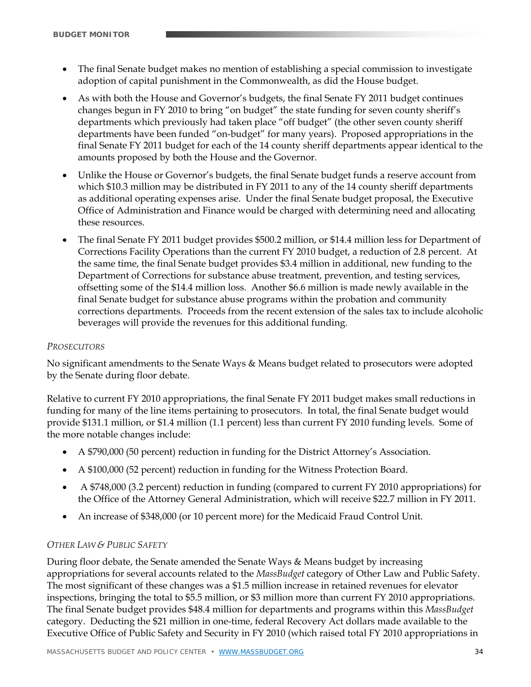- The final Senate budget makes no mention of establishing a special commission to investigate adoption of capital punishment in the Commonwealth, as did the House budget.
- As with both the House and Governor's budgets, the final Senate FY 2011 budget continues changes begun in FY 2010 to bring "on budget" the state funding for seven county sheriff's departments which previously had taken place "off budget" (the other seven county sheriff departments have been funded "on-budget" for many years). Proposed appropriations in the final Senate FY 2011 budget for each of the 14 county sheriff departments appear identical to the amounts proposed by both the House and the Governor.
- Unlike the House or Governor's budgets, the final Senate budget funds a reserve account from which \$10.3 million may be distributed in FY 2011 to any of the 14 county sheriff departments as additional operating expenses arise. Under the final Senate budget proposal, the Executive Office of Administration and Finance would be charged with determining need and allocating these resources.
- The final Senate FY 2011 budget provides \$500.2 million, or \$14.4 million less for Department of Corrections Facility Operations than the current FY 2010 budget, a reduction of 2.8 percent. At the same time, the final Senate budget provides \$3.4 million in additional, new funding to the Department of Corrections for substance abuse treatment, prevention, and testing services, offsetting some of the \$14.4 million loss. Another \$6.6 million is made newly available in the final Senate budget for substance abuse programs within the probation and community corrections departments. Proceeds from the recent extension of the sales tax to include alcoholic beverages will provide the revenues for this additional funding.

#### *PROSECUTORS*

No significant amendments to the Senate Ways & Means budget related to prosecutors were adopted by the Senate during floor debate.

Relative to current FY 2010 appropriations, the final Senate FY 2011 budget makes small reductions in funding for many of the line items pertaining to prosecutors. In total, the final Senate budget would provide \$131.1 million, or \$1.4 million (1.1 percent) less than current FY 2010 funding levels. Some of the more notable changes include:

- A \$790,000 (50 percent) reduction in funding for the District Attorney's Association.
- A \$100,000 (52 percent) reduction in funding for the Witness Protection Board.
- A \$748,000 (3.2 percent) reduction in funding (compared to current FY 2010 appropriations) for the Office of the Attorney General Administration, which will receive \$22.7 million in FY 2011.
- An increase of \$348,000 (or 10 percent more) for the Medicaid Fraud Control Unit.

#### *OTHER LAW & PUBLIC SAFETY*

During floor debate, the Senate amended the Senate Ways & Means budget by increasing appropriations for several accounts related to the *MassBudget* category of Other Law and Public Safety. The most significant of these changes was a \$1.5 million increase in retained revenues for elevator inspections, bringing the total to \$5.5 million, or \$3 million more than current FY 2010 appropriations. The final Senate budget provides \$48.4 million for departments and programs within this *MassBudget* category. Deducting the \$21 million in one-time, federal Recovery Act dollars made available to the Executive Office of Public Safety and Security in FY 2010 (which raised total FY 2010 appropriations in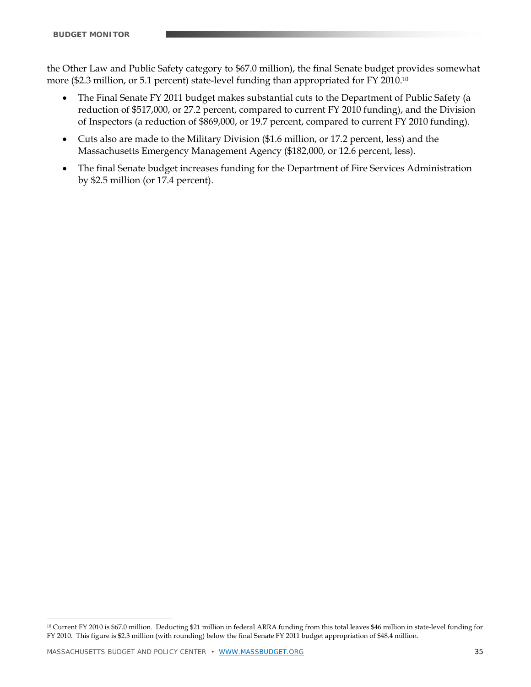the Other Law and Public Safety category to \$67.0 million), the final Senate budget provides somewhat more (\$2.3 million, or 5.1 percent) state-level funding than appropriated for FY 2010.10

- The Final Senate FY 2011 budget makes substantial cuts to the Department of Public Safety (a reduction of \$517,000, or 27.2 percent, compared to current FY 2010 funding), and the Division of Inspectors (a reduction of \$869,000, or 19.7 percent, compared to current FY 2010 funding).
- Cuts also are made to the Military Division (\$1.6 million, or 17.2 percent, less) and the Massachusetts Emergency Management Agency (\$182,000, or 12.6 percent, less).
- The final Senate budget increases funding for the Department of Fire Services Administration by \$2.5 million (or 17.4 percent).

<u>.</u>

<sup>10</sup> Current FY 2010 is \$67.0 million. Deducting \$21 million in federal ARRA funding from this total leaves \$46 million in state-level funding for FY 2010. This figure is \$2.3 million (with rounding) below the final Senate FY 2011 budget appropriation of \$48.4 million.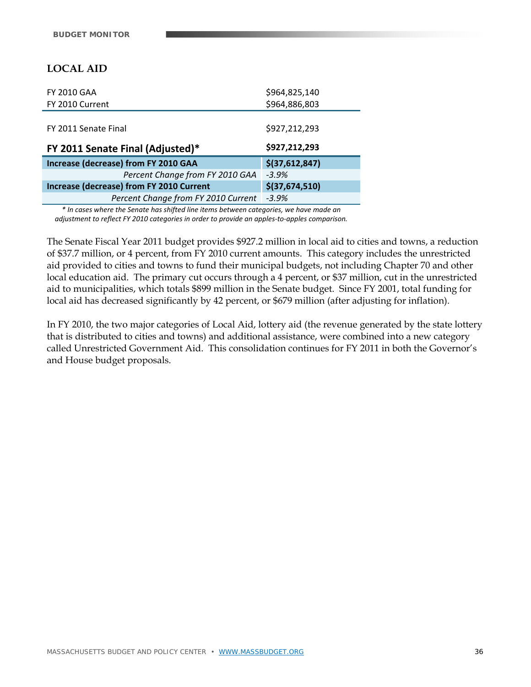# **LOCAL AID**

| <b>FY 2010 GAA</b>                       | \$964,825,140  |
|------------------------------------------|----------------|
| FY 2010 Current                          | \$964,886,803  |
|                                          |                |
| FY 2011 Senate Final                     | \$927,212,293  |
|                                          | \$927,212,293  |
| FY 2011 Senate Final (Adjusted)*         |                |
| Increase (decrease) from FY 2010 GAA     | \$(37,612,847) |
| Percent Change from FY 2010 GAA          | $-3.9%$        |
| Increase (decrease) from FY 2010 Current | \$(37,674,510) |
| Percent Change from FY 2010 Current      | $-3.9%$        |

*\* In cases where the Senate has shifted line items between categories, we have made an adjustment to reflect FY 2010 categories in order to provide an apples‐to‐apples comparison.*

The Senate Fiscal Year 2011 budget provides \$927.2 million in local aid to cities and towns, a reduction of \$37.7 million, or 4 percent, from FY 2010 current amounts. This category includes the unrestricted aid provided to cities and towns to fund their municipal budgets, not including Chapter 70 and other local education aid. The primary cut occurs through a 4 percent, or \$37 million, cut in the unrestricted aid to municipalities, which totals \$899 million in the Senate budget. Since FY 2001, total funding for local aid has decreased significantly by 42 percent, or \$679 million (after adjusting for inflation).

In FY 2010, the two major categories of Local Aid, lottery aid (the revenue generated by the state lottery that is distributed to cities and towns) and additional assistance, were combined into a new category called Unrestricted Government Aid. This consolidation continues for FY 2011 in both the Governor's and House budget proposals.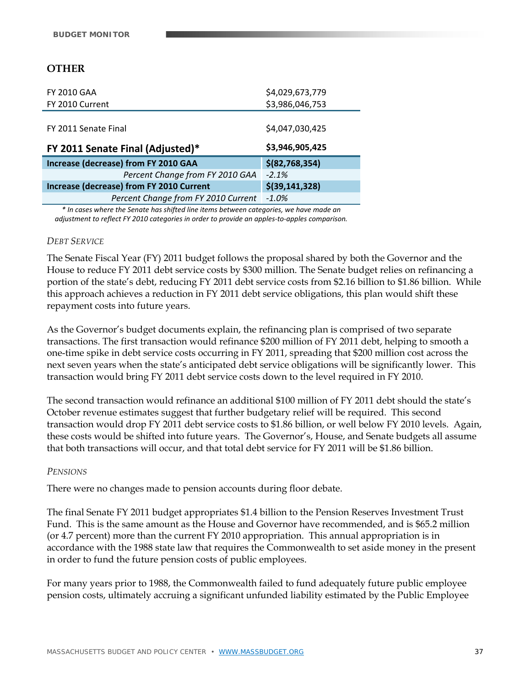# **OTHER**

| <b>FY 2010 GAA</b>                       | \$4,029,673,779  |
|------------------------------------------|------------------|
| FY 2010 Current                          | \$3,986,046,753  |
|                                          |                  |
| FY 2011 Senate Final                     | \$4,047,030,425  |
|                                          | \$3,946,905,425  |
| FY 2011 Senate Final (Adjusted)*         |                  |
| Increase (decrease) from FY 2010 GAA     | $$$ (82,768,354) |
| Percent Change from FY 2010 GAA          | $-2.1%$          |
| Increase (decrease) from FY 2010 Current | $$$ (39,141,328) |
| Percent Change from FY 2010 Current      | $-1.0%$          |

*\* In cases where the Senate has shifted line items between categories, we have made an adjustment to reflect FY 2010 categories in order to provide an apples‐to‐apples comparison.*

#### *DEBT SERVICE*

The Senate Fiscal Year (FY) 2011 budget follows the proposal shared by both the Governor and the House to reduce FY 2011 debt service costs by \$300 million. The Senate budget relies on refinancing a portion of the state's debt, reducing FY 2011 debt service costs from \$2.16 billion to \$1.86 billion. While this approach achieves a reduction in FY 2011 debt service obligations, this plan would shift these repayment costs into future years.

As the Governor's budget documents explain, the refinancing plan is comprised of two separate transactions. The first transaction would refinance \$200 million of FY 2011 debt, helping to smooth a one-time spike in debt service costs occurring in FY 2011, spreading that \$200 million cost across the next seven years when the state's anticipated debt service obligations will be significantly lower. This transaction would bring FY 2011 debt service costs down to the level required in FY 2010.

The second transaction would refinance an additional \$100 million of FY 2011 debt should the state's October revenue estimates suggest that further budgetary relief will be required. This second transaction would drop FY 2011 debt service costs to \$1.86 billion, or well below FY 2010 levels. Again, these costs would be shifted into future years. The Governor's, House, and Senate budgets all assume that both transactions will occur, and that total debt service for FY 2011 will be \$1.86 billion.

#### *PENSIONS*

There were no changes made to pension accounts during floor debate.

The final Senate FY 2011 budget appropriates \$1.4 billion to the Pension Reserves Investment Trust Fund. This is the same amount as the House and Governor have recommended, and is \$65.2 million (or 4.7 percent) more than the current FY 2010 appropriation. This annual appropriation is in accordance with the 1988 state law that requires the Commonwealth to set aside money in the present in order to fund the future pension costs of public employees.

For many years prior to 1988, the Commonwealth failed to fund adequately future public employee pension costs, ultimately accruing a significant unfunded liability estimated by the Public Employee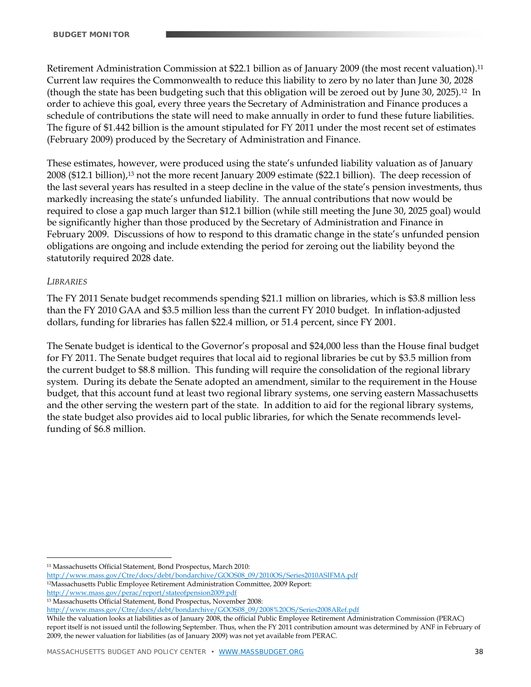Retirement Administration Commission at \$22.1 billion as of January 2009 (the most recent valuation).11 Current law requires the Commonwealth to reduce this liability to zero by no later than June 30, 2028 (though the state has been budgeting such that this obligation will be zeroed out by June 30, 2025).12 In order to achieve this goal, every three years the Secretary of Administration and Finance produces a schedule of contributions the state will need to make annually in order to fund these future liabilities. The figure of \$1.442 billion is the amount stipulated for FY 2011 under the most recent set of estimates (February 2009) produced by the Secretary of Administration and Finance.

These estimates, however, were produced using the state's unfunded liability valuation as of January 2008 (\$12.1 billion),13 not the more recent January 2009 estimate (\$22.1 billion). The deep recession of the last several years has resulted in a steep decline in the value of the state's pension investments, thus markedly increasing the state's unfunded liability. The annual contributions that now would be required to close a gap much larger than \$12.1 billion (while still meeting the June 30, 2025 goal) would be significantly higher than those produced by the Secretary of Administration and Finance in February 2009. Discussions of how to respond to this dramatic change in the state's unfunded pension obligations are ongoing and include extending the period for zeroing out the liability beyond the statutorily required 2028 date.

#### *LIBRARIES*

 $\overline{a}$ 

The FY 2011 Senate budget recommends spending \$21.1 million on libraries, which is \$3.8 million less than the FY 2010 GAA and \$3.5 million less than the current FY 2010 budget. In inflation-adjusted dollars, funding for libraries has fallen \$22.4 million, or 51.4 percent, since FY 2001.

The Senate budget is identical to the Governor's proposal and \$24,000 less than the House final budget for FY 2011. The Senate budget requires that local aid to regional libraries be cut by \$3.5 million from the current budget to \$8.8 million. This funding will require the consolidation of the regional library system. During its debate the Senate adopted an amendment, similar to the requirement in the House budget, that this account fund at least two regional library systems, one serving eastern Massachusetts and the other serving the western part of the state. In addition to aid for the regional library systems, the state budget also provides aid to local public libraries, for which the Senate recommends levelfunding of \$6.8 million.

13 Massachusetts Official Statement, Bond Prospectus, November 2008:

http://www.mass.gov/Ctre/docs/debt/bondarchive/GOOS08\_09/2008%20OS/Series2008ARef.pdf

While the valuation looks at liabilities as of January 2008, the official Public Employee Retirement Administration Commission (PERAC) report itself is not issued until the following September. Thus, when the FY 2011 contribution amount was determined by ANF in February of 2009, the newer valuation for liabilities (as of January 2009) was not yet available from PERAC.

<sup>11</sup> Massachusetts Official Statement, Bond Prospectus, March 2010:

http://www.mass.gov/Ctre/docs/debt/bondarchive/GOOS08\_09/2010OS/Series2010ASIFMA.pdf

<sup>12</sup>Massachusetts Public Employee Retirement Administration Committee, 2009 Report:

http://www.mass.gov/perac/report/stateofpension2009.pdf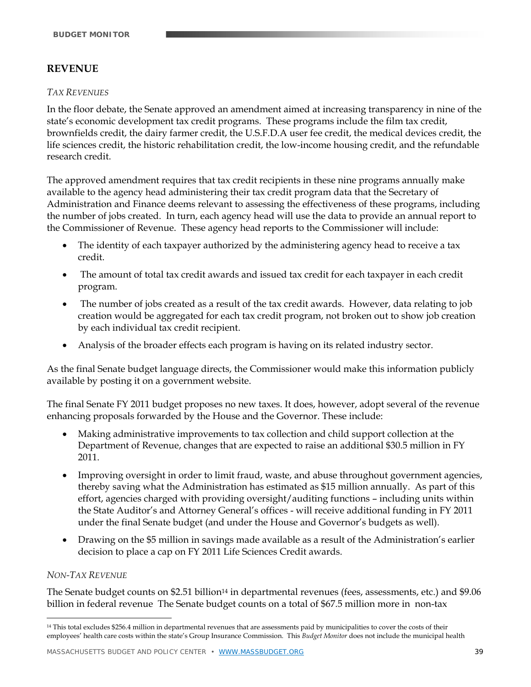# **REVENUE**

#### *TAX REVENUES*

In the floor debate, the Senate approved an amendment aimed at increasing transparency in nine of the state's economic development tax credit programs. These programs include the film tax credit, brownfields credit, the dairy farmer credit, the U.S.F.D.A user fee credit, the medical devices credit, the life sciences credit, the historic rehabilitation credit, the low-income housing credit, and the refundable research credit.

The approved amendment requires that tax credit recipients in these nine programs annually make available to the agency head administering their tax credit program data that the Secretary of Administration and Finance deems relevant to assessing the effectiveness of these programs, including the number of jobs created. In turn, each agency head will use the data to provide an annual report to the Commissioner of Revenue. These agency head reports to the Commissioner will include:

- The identity of each taxpayer authorized by the administering agency head to receive a tax credit.
- The amount of total tax credit awards and issued tax credit for each taxpayer in each credit program.
- The number of jobs created as a result of the tax credit awards. However, data relating to job creation would be aggregated for each tax credit program, not broken out to show job creation by each individual tax credit recipient.
- Analysis of the broader effects each program is having on its related industry sector.

As the final Senate budget language directs, the Commissioner would make this information publicly available by posting it on a government website.

The final Senate FY 2011 budget proposes no new taxes. It does, however, adopt several of the revenue enhancing proposals forwarded by the House and the Governor. These include:

- Making administrative improvements to tax collection and child support collection at the Department of Revenue, changes that are expected to raise an additional \$30.5 million in FY 2011.
- Improving oversight in order to limit fraud, waste, and abuse throughout government agencies, thereby saving what the Administration has estimated as \$15 million annually. As part of this effort, agencies charged with providing oversight/auditing functions – including units within the State Auditor's and Attorney General's offices - will receive additional funding in FY 2011 under the final Senate budget (and under the House and Governor's budgets as well).
- Drawing on the \$5 million in savings made available as a result of the Administration's earlier decision to place a cap on FY 2011 Life Sciences Credit awards.

#### *NON-TAX REVENUE*

<u>.</u>

The Senate budget counts on \$2.51 billion<sup>14</sup> in departmental revenues (fees, assessments, etc.) and \$9.06 billion in federal revenue The Senate budget counts on a total of \$67.5 million more in non-tax

<sup>14</sup> This total excludes \$256.4 million in departmental revenues that are assessments paid by municipalities to cover the costs of their employees' health care costs within the state's Group Insurance Commission. This *Budget Monitor* does not include the municipal health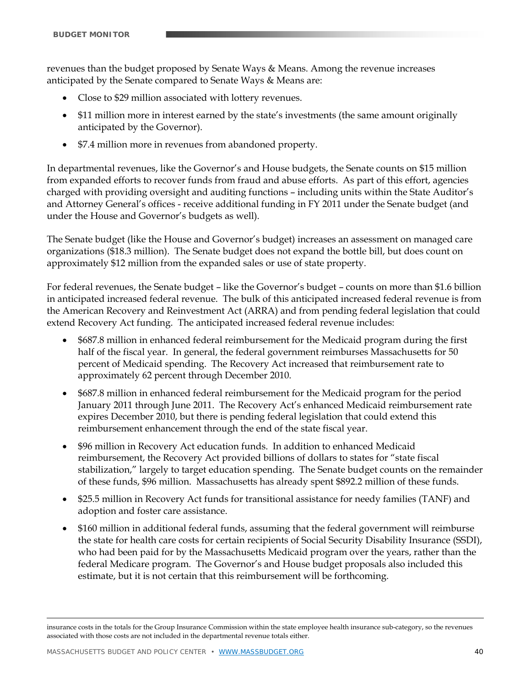revenues than the budget proposed by Senate Ways & Means. Among the revenue increases anticipated by the Senate compared to Senate Ways & Means are:

- Close to \$29 million associated with lottery revenues.
- \$11 million more in interest earned by the state's investments (the same amount originally anticipated by the Governor).
- \$7.4 million more in revenues from abandoned property.

In departmental revenues, like the Governor's and House budgets, the Senate counts on \$15 million from expanded efforts to recover funds from fraud and abuse efforts. As part of this effort, agencies charged with providing oversight and auditing functions – including units within the State Auditor's and Attorney General's offices - receive additional funding in FY 2011 under the Senate budget (and under the House and Governor's budgets as well).

The Senate budget (like the House and Governor's budget) increases an assessment on managed care organizations (\$18.3 million). The Senate budget does not expand the bottle bill, but does count on approximately \$12 million from the expanded sales or use of state property.

For federal revenues, the Senate budget – like the Governor's budget – counts on more than \$1.6 billion in anticipated increased federal revenue. The bulk of this anticipated increased federal revenue is from the American Recovery and Reinvestment Act (ARRA) and from pending federal legislation that could extend Recovery Act funding. The anticipated increased federal revenue includes:

- \$687.8 million in enhanced federal reimbursement for the Medicaid program during the first half of the fiscal year. In general, the federal government reimburses Massachusetts for 50 percent of Medicaid spending. The Recovery Act increased that reimbursement rate to approximately 62 percent through December 2010.
- \$687.8 million in enhanced federal reimbursement for the Medicaid program for the period January 2011 through June 2011. The Recovery Act's enhanced Medicaid reimbursement rate expires December 2010, but there is pending federal legislation that could extend this reimbursement enhancement through the end of the state fiscal year.
- \$96 million in Recovery Act education funds. In addition to enhanced Medicaid reimbursement, the Recovery Act provided billions of dollars to states for "state fiscal stabilization," largely to target education spending. The Senate budget counts on the remainder of these funds, \$96 million. Massachusetts has already spent \$892.2 million of these funds.
- \$25.5 million in Recovery Act funds for transitional assistance for needy families (TANF) and adoption and foster care assistance.
- \$160 million in additional federal funds, assuming that the federal government will reimburse the state for health care costs for certain recipients of Social Security Disability Insurance (SSDI), who had been paid for by the Massachusetts Medicaid program over the years, rather than the federal Medicare program. The Governor's and House budget proposals also included this estimate, but it is not certain that this reimbursement will be forthcoming.

insurance costs in the totals for the Group Insurance Commission within the state employee health insurance sub-category, so the revenues associated with those costs are not included in the departmental revenue totals either.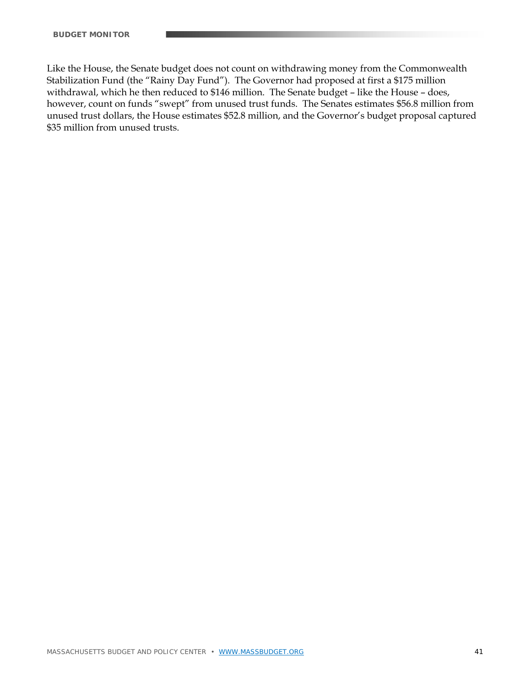Like the House, the Senate budget does not count on withdrawing money from the Commonwealth Stabilization Fund (the "Rainy Day Fund"). The Governor had proposed at first a \$175 million withdrawal, which he then reduced to \$146 million. The Senate budget – like the House – does, however, count on funds "swept" from unused trust funds. The Senates estimates \$56.8 million from unused trust dollars, the House estimates \$52.8 million, and the Governor's budget proposal captured \$35 million from unused trusts.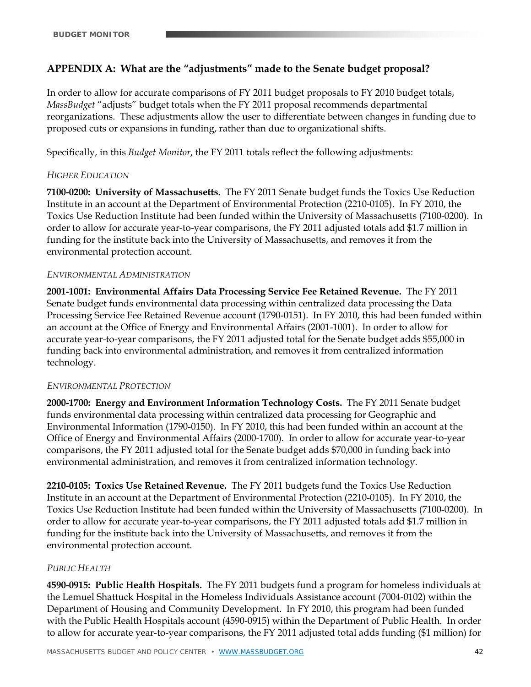# **APPENDIX A: What are the "adjustments" made to the Senate budget proposal?**

In order to allow for accurate comparisons of FY 2011 budget proposals to FY 2010 budget totals, *MassBudget* "adjusts" budget totals when the FY 2011 proposal recommends departmental reorganizations. These adjustments allow the user to differentiate between changes in funding due to proposed cuts or expansions in funding, rather than due to organizational shifts.

Specifically, in this *Budget Monitor*, the FY 2011 totals reflect the following adjustments:

### *HIGHER EDUCATION*

**7100-0200: University of Massachusetts.** The FY 2011 Senate budget funds the Toxics Use Reduction Institute in an account at the Department of Environmental Protection (2210-0105). In FY 2010, the Toxics Use Reduction Institute had been funded within the University of Massachusetts (7100-0200). In order to allow for accurate year-to-year comparisons, the FY 2011 adjusted totals add \$1.7 million in funding for the institute back into the University of Massachusetts, and removes it from the environmental protection account.

#### *ENVIRONMENTAL ADMINISTRATION*

**2001-1001: Environmental Affairs Data Processing Service Fee Retained Revenue.** The FY 2011 Senate budget funds environmental data processing within centralized data processing the Data Processing Service Fee Retained Revenue account (1790-0151). In FY 2010, this had been funded within an account at the Office of Energy and Environmental Affairs (2001-1001). In order to allow for accurate year-to-year comparisons, the FY 2011 adjusted total for the Senate budget adds \$55,000 in funding back into environmental administration, and removes it from centralized information technology.

#### *ENVIRONMENTAL PROTECTION*

**2000-1700: Energy and Environment Information Technology Costs.** The FY 2011 Senate budget funds environmental data processing within centralized data processing for Geographic and Environmental Information (1790-0150). In FY 2010, this had been funded within an account at the Office of Energy and Environmental Affairs (2000-1700). In order to allow for accurate year-to-year comparisons, the FY 2011 adjusted total for the Senate budget adds \$70,000 in funding back into environmental administration, and removes it from centralized information technology.

**2210-0105: Toxics Use Retained Revenue.** The FY 2011 budgets fund the Toxics Use Reduction Institute in an account at the Department of Environmental Protection (2210-0105). In FY 2010, the Toxics Use Reduction Institute had been funded within the University of Massachusetts (7100-0200). In order to allow for accurate year-to-year comparisons, the FY 2011 adjusted totals add \$1.7 million in funding for the institute back into the University of Massachusetts, and removes it from the environmental protection account.

# *PUBLIC HEALTH*

**4590-0915: Public Health Hospitals.** The FY 2011 budgets fund a program for homeless individuals at the Lemuel Shattuck Hospital in the Homeless Individuals Assistance account (7004-0102) within the Department of Housing and Community Development. In FY 2010, this program had been funded with the Public Health Hospitals account (4590-0915) within the Department of Public Health. In order to allow for accurate year-to-year comparisons, the FY 2011 adjusted total adds funding (\$1 million) for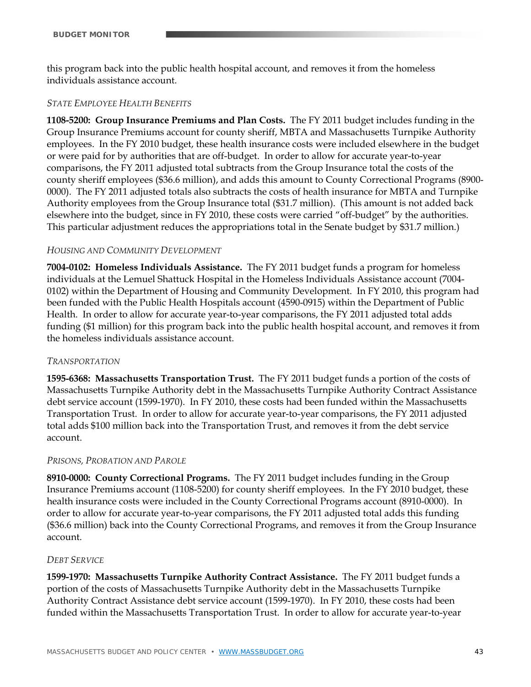this program back into the public health hospital account, and removes it from the homeless individuals assistance account.

#### *STATE EMPLOYEE HEALTH BENEFITS*

**1108-5200: Group Insurance Premiums and Plan Costs.** The FY 2011 budget includes funding in the Group Insurance Premiums account for county sheriff, MBTA and Massachusetts Turnpike Authority employees. In the FY 2010 budget, these health insurance costs were included elsewhere in the budget or were paid for by authorities that are off-budget. In order to allow for accurate year-to-year comparisons, the FY 2011 adjusted total subtracts from the Group Insurance total the costs of the county sheriff employees (\$36.6 million), and adds this amount to County Correctional Programs (8900- 0000). The FY 2011 adjusted totals also subtracts the costs of health insurance for MBTA and Turnpike Authority employees from the Group Insurance total (\$31.7 million). (This amount is not added back elsewhere into the budget, since in FY 2010, these costs were carried "off-budget" by the authorities. This particular adjustment reduces the appropriations total in the Senate budget by \$31.7 million.)

#### *HOUSING AND COMMUNITY DEVELOPMENT*

**7004-0102: Homeless Individuals Assistance.** The FY 2011 budget funds a program for homeless individuals at the Lemuel Shattuck Hospital in the Homeless Individuals Assistance account (7004- 0102) within the Department of Housing and Community Development. In FY 2010, this program had been funded with the Public Health Hospitals account (4590-0915) within the Department of Public Health. In order to allow for accurate year-to-year comparisons, the FY 2011 adjusted total adds funding (\$1 million) for this program back into the public health hospital account, and removes it from the homeless individuals assistance account.

#### *TRANSPORTATION*

**1595-6368: Massachusetts Transportation Trust.** The FY 2011 budget funds a portion of the costs of Massachusetts Turnpike Authority debt in the Massachusetts Turnpike Authority Contract Assistance debt service account (1599-1970). In FY 2010, these costs had been funded within the Massachusetts Transportation Trust. In order to allow for accurate year-to-year comparisons, the FY 2011 adjusted total adds \$100 million back into the Transportation Trust, and removes it from the debt service account.

#### *PRISONS, PROBATION AND PAROLE*

**8910-0000: County Correctional Programs.** The FY 2011 budget includes funding in the Group Insurance Premiums account (1108-5200) for county sheriff employees. In the FY 2010 budget, these health insurance costs were included in the County Correctional Programs account (8910-0000). In order to allow for accurate year-to-year comparisons, the FY 2011 adjusted total adds this funding (\$36.6 million) back into the County Correctional Programs, and removes it from the Group Insurance account.

#### *DEBT SERVICE*

**1599-1970: Massachusetts Turnpike Authority Contract Assistance.** The FY 2011 budget funds a portion of the costs of Massachusetts Turnpike Authority debt in the Massachusetts Turnpike Authority Contract Assistance debt service account (1599-1970). In FY 2010, these costs had been funded within the Massachusetts Transportation Trust. In order to allow for accurate year-to-year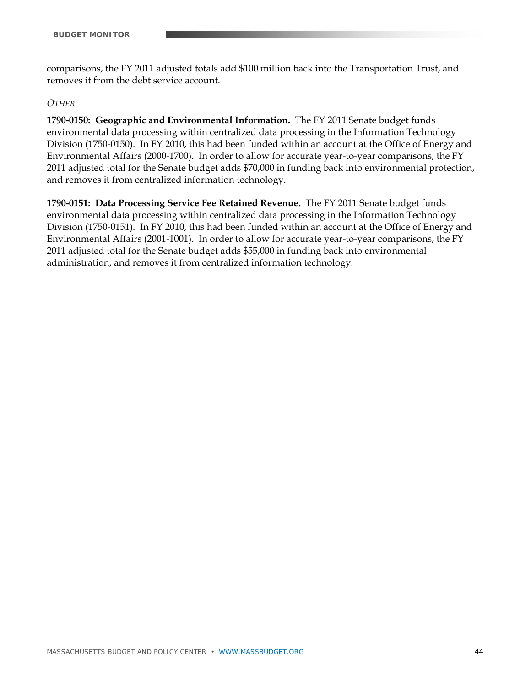comparisons, the FY 2011 adjusted totals add \$100 million back into the Transportation Trust, and removes it from the debt service account.

#### *OTHER*

**1790-0150: Geographic and Environmental Information.** The FY 2011 Senate budget funds environmental data processing within centralized data processing in the Information Technology Division (1750-0150). In FY 2010, this had been funded within an account at the Office of Energy and Environmental Affairs (2000-1700). In order to allow for accurate year-to-year comparisons, the FY 2011 adjusted total for the Senate budget adds \$70,000 in funding back into environmental protection, and removes it from centralized information technology.

**1790-0151: Data Processing Service Fee Retained Revenue.** The FY 2011 Senate budget funds environmental data processing within centralized data processing in the Information Technology Division (1750-0151). In FY 2010, this had been funded within an account at the Office of Energy and Environmental Affairs (2001-1001). In order to allow for accurate year-to-year comparisons, the FY 2011 adjusted total for the Senate budget adds \$55,000 in funding back into environmental administration, and removes it from centralized information technology.